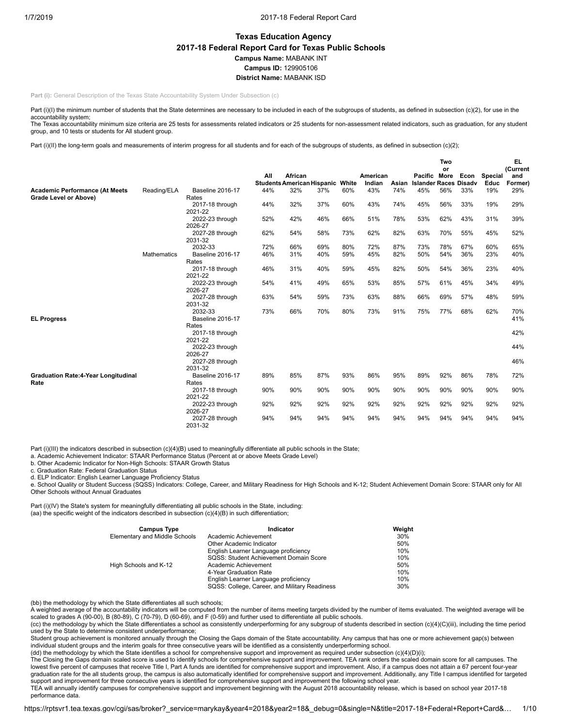# **Texas Education Agency 2017-18 Federal Report Card for Texas Public Schools Campus Name:** MABANK INT **Campus ID:** 129905106 **District Name:** MABANK ISD

**Part (i):** General Description of the Texas State Accountability System Under Subsection (c)

Part (i)(I) the minimum number of students that the State determines are necessary to be included in each of the subgroups of students, as defined in subsection (c)(2), for use in the accountability system;

The Texas accountability minimum size criteria are 25 tests for assessments related indicators or 25 students for non-assessment related indicators, such as graduation, for any student group, and 10 tests or students for All student group.

Part (i)(II) the long-term goals and measurements of interim progress for all students and for each of the subgroups of students, as defined in subsection (c)(2);

|                                            |                    |                            |     |                                              |     |       |                    |       |                                              | Two |      |                        | EL.            |
|--------------------------------------------|--------------------|----------------------------|-----|----------------------------------------------|-----|-------|--------------------|-------|----------------------------------------------|-----|------|------------------------|----------------|
|                                            |                    |                            |     |                                              |     |       |                    |       |                                              | or  |      |                        | (Current       |
|                                            |                    |                            | All | African<br><b>Students American Hispanic</b> |     | White | American<br>Indian | Asian | Pacific More<br><b>Islander Races Disadv</b> |     | Econ | <b>Special</b><br>Educ | and<br>Former) |
| <b>Academic Performance (At Meets</b>      | Reading/ELA        | <b>Baseline 2016-17</b>    | 44% | 32%                                          | 37% | 60%   | 43%                | 74%   | 45%                                          | 56% | 33%  | 19%                    | 29%            |
| Grade Level or Above)                      |                    | Rates                      |     |                                              |     |       |                    |       |                                              |     |      |                        |                |
|                                            |                    | 2017-18 through            | 44% | 32%                                          | 37% | 60%   | 43%                | 74%   | 45%                                          | 56% | 33%  | 19%                    | 29%            |
|                                            |                    | 2021-22                    |     |                                              |     |       |                    |       |                                              |     |      |                        |                |
|                                            |                    | 2022-23 through            | 52% | 42%                                          | 46% | 66%   | 51%                | 78%   | 53%                                          | 62% | 43%  | 31%                    | 39%            |
|                                            |                    | 2026-27                    |     |                                              |     |       |                    |       |                                              |     |      |                        |                |
|                                            |                    | 2027-28 through            | 62% | 54%                                          | 58% | 73%   | 62%                | 82%   | 63%                                          | 70% | 55%  | 45%                    | 52%            |
|                                            |                    | 2031-32                    |     |                                              |     |       |                    |       |                                              |     |      |                        |                |
|                                            |                    | 2032-33                    | 72% | 66%                                          | 69% | 80%   | 72%                | 87%   | 73%                                          | 78% | 67%  | 60%                    | 65%            |
|                                            | <b>Mathematics</b> | Baseline 2016-17           | 46% | 31%                                          | 40% | 59%   | 45%                | 82%   | 50%                                          | 54% | 36%  | 23%                    | 40%            |
|                                            |                    | Rates                      |     |                                              |     |       |                    |       |                                              |     |      |                        |                |
|                                            |                    | 2017-18 through            | 46% | 31%                                          | 40% | 59%   | 45%                | 82%   | 50%                                          | 54% | 36%  | 23%                    | 40%            |
|                                            |                    | 2021-22                    |     |                                              |     |       |                    |       |                                              |     |      |                        |                |
|                                            |                    | 2022-23 through<br>2026-27 | 54% | 41%                                          | 49% | 65%   | 53%                | 85%   | 57%                                          | 61% | 45%  | 34%                    | 49%            |
|                                            |                    | 2027-28 through            | 63% | 54%                                          | 59% | 73%   | 63%                | 88%   | 66%                                          | 69% | 57%  | 48%                    | 59%            |
|                                            |                    | 2031-32                    |     |                                              |     |       |                    |       |                                              |     |      |                        |                |
|                                            |                    | 2032-33                    | 73% | 66%                                          | 70% | 80%   | 73%                | 91%   | 75%                                          | 77% | 68%  | 62%                    | 70%            |
| <b>EL Progress</b>                         |                    | Baseline 2016-17           |     |                                              |     |       |                    |       |                                              |     |      |                        | 41%            |
|                                            |                    | Rates                      |     |                                              |     |       |                    |       |                                              |     |      |                        |                |
|                                            |                    | 2017-18 through            |     |                                              |     |       |                    |       |                                              |     |      |                        | 42%            |
|                                            |                    | 2021-22                    |     |                                              |     |       |                    |       |                                              |     |      |                        |                |
|                                            |                    | 2022-23 through            |     |                                              |     |       |                    |       |                                              |     |      |                        | 44%            |
|                                            |                    | 2026-27                    |     |                                              |     |       |                    |       |                                              |     |      |                        |                |
|                                            |                    | 2027-28 through            |     |                                              |     |       |                    |       |                                              |     |      |                        | 46%            |
|                                            |                    | 2031-32                    |     |                                              |     |       |                    |       |                                              |     |      |                        |                |
| <b>Graduation Rate:4-Year Longitudinal</b> |                    | <b>Baseline 2016-17</b>    | 89% | 85%                                          | 87% | 93%   | 86%                | 95%   | 89%                                          | 92% | 86%  | 78%                    | 72%            |
| Rate                                       |                    | Rates                      |     |                                              |     |       |                    |       |                                              |     |      |                        |                |
|                                            |                    | 2017-18 through            | 90% | 90%                                          | 90% | 90%   | 90%                | 90%   | 90%                                          | 90% | 90%  | 90%                    | 90%            |
|                                            |                    | 2021-22                    |     |                                              |     |       |                    |       |                                              |     |      |                        |                |
|                                            |                    | 2022-23 through<br>2026-27 | 92% | 92%                                          | 92% | 92%   | 92%                | 92%   | 92%                                          | 92% | 92%  | 92%                    | 92%            |
|                                            |                    | 2027-28 through            | 94% | 94%                                          | 94% | 94%   | 94%                | 94%   | 94%                                          | 94% | 94%  | 94%                    | 94%            |
|                                            |                    | 2031-32                    |     |                                              |     |       |                    |       |                                              |     |      |                        |                |

Part (i)(III) the indicators described in subsection (c)(4)(B) used to meaningfully differentiate all public schools in the State;<br>a. Academic Achievement Indicator: STAAR Performance Status (Percent at or above Meets Grad

b. Other Academic Indicator for Non-High Schools: STAAR Growth Status

c. Graduation Rate: Federal Graduation Status

d. ELP Indicator: English Learner Language Proficiency Status

e. School Quality or Student Success (SQSS) Indicators: College, Career, and Military Readiness for High Schools and K-12; Student Achievement Domain Score: STAAR only for All Other Schools without Annual Graduates

Part (i)(IV) the State's system for meaningfully differentiating all public schools in the State, including: (aa) the specific weight of the indicators described in subsection (c)(4)(B) in such differentiation;

| Indicator                                     | Weight |
|-----------------------------------------------|--------|
| Academic Achievement                          | 30%    |
| Other Academic Indicator                      | 50%    |
| English Learner Language proficiency          | 10%    |
| SQSS: Student Achievement Domain Score        | 10%    |
| Academic Achievement                          | 50%    |
| 4-Year Graduation Rate                        | 10%    |
| English Learner Language proficiency          | 10%    |
| SQSS: College, Career, and Military Readiness | 30%    |
|                                               |        |

(bb) the methodology by which the State differentiates all such schools;

A weighted average of the accountability indicators will be computed from the number of items meeting targets divided by the number of items evaluated. The weighted average will be scaled to grades A (90-00), B (80-89), C (70-79), D (60-69), and F (0-59) and further used to differentiate all public schools.

(cc) the methodology by which the State differentiates a school as consistently underperforming for any subgroup of students described in section (c)(4)(C)(iii), including the time period used by the State to determine consistent underperformance;

Student group achievement is monitored annually through the Closing the Gaps domain of the State accountability. Any campus that has one or more achievement gap(s) between individual student groups and the interim goals for three consecutive years will be identified as a consistently underperforming school.<br>(dd) the methodology by which the State identifies a school for comprehensive support

The Closing the Gaps domain scaled score is used to identify schools for comprehensive support and improvement. TEA rank orders the scaled domain score for all campuses. The lowest five percent of campuses that receive Title I, Part A funds are identified for comprehensive support and improvement. Also, if a campus does not attain a 67 percent four-year graduation rate for the all students group, the campus is also automatically identified for comprehensive support and improvement. Additionally, any Title I campus identified for targeted support and improvement for three consecutive years is identified for comprehensive support and improvement the following school year.

TEA will annually identify campuses for comprehensive support and improvement beginning with the August 2018 accountability release, which is based on school year 2017-18 performance data.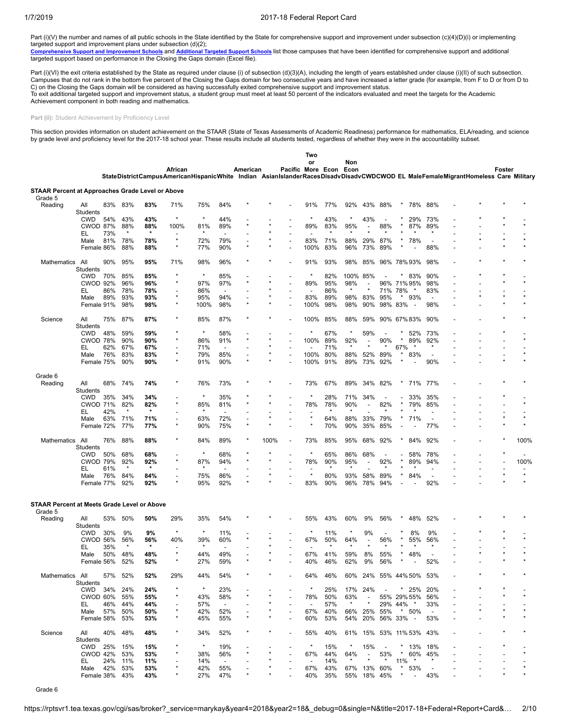Part (i)(V) the number and names of all public schools in the State identified by the State for comprehensive support and improvement under subsection (c)(4)(D)(i) or implementing

targeted support and improvement plans under subsection (d)(2);<br><u>[Comprehensive](https://tea.texas.gov/WorkArea/DownloadAsset.aspx?id=51539624659) Support and Improvement Schools</u> and <u>[Additional](https://tea.texas.gov/WorkArea/DownloadAsset.aspx?id=51539624660) Targeted Support Schools</u> list those campuses that have been identified for comprehensive supp

Part (i)(VI) the exit criteria established by the State as required under clause (i) of subsection (d)(3)(A), including the length of years established under clause (i)(II) of such subsection. Campuses that do not rank in the bottom five percent of the Closing the Gaps domain for two consecutive years and have increased a letter grade (for example, from F to D or from D to C) on the Closing the Gaps domain will be considered as having successfully exited comprehensive support and improvement status. To exit additional targeted support and improvement status, a student group must meet at least 50 percent of the indicators evaluated and meet the targets for the Academic Achievement component in both reading and mathematics.

Part (ii): Student Achievement by Proficiency Level

This section provides information on student achievement on the STAAR (State of Texas Assessments of Academic Readiness) performance for mathematics, ELA/reading, and science<br>by grade level and proficiency level for the 20

|                                                                    |                    |     |            |            |                                                                                                                                  |            |                          |          |      |                          | Two                      |            |             |                          |                          |                           |                          |  |        |      |
|--------------------------------------------------------------------|--------------------|-----|------------|------------|----------------------------------------------------------------------------------------------------------------------------------|------------|--------------------------|----------|------|--------------------------|--------------------------|------------|-------------|--------------------------|--------------------------|---------------------------|--------------------------|--|--------|------|
|                                                                    |                    |     |            |            | African                                                                                                                          |            |                          | American |      | Pacific More Econ        | or                       |            | Non<br>Econ |                          |                          |                           |                          |  | Foster |      |
|                                                                    |                    |     |            |            | StateDistrictCampusAmericanHispanicWhite Indian AsianIslanderRacesDisadvDisadvCWDCWOD EL MaleFemaleMigrantHomeless Care Military |            |                          |          |      |                          |                          |            |             |                          |                          |                           |                          |  |        |      |
| <b>STAAR Percent at Approaches Grade Level or Above</b><br>Grade 5 |                    |     |            |            |                                                                                                                                  |            |                          |          |      |                          |                          |            |             |                          |                          |                           |                          |  |        |      |
| Reading                                                            | All<br>Students    | 83% | 83%        | 83%        | 71%                                                                                                                              | 75%        | 84%                      |          |      |                          | 91%                      | 77%        | 92%         | 43%                      | 88%                      | 78%                       | 88%                      |  |        |      |
|                                                                    | <b>CWD</b>         | 54% | 43%        | 43%        | $\star$                                                                                                                          | $\star$    | 44%                      |          |      |                          | $^{\star}$               | 43%        |             | 43%                      |                          | 29%                       | 73%                      |  |        |      |
|                                                                    | <b>CWOD 87%</b>    |     | 88%        | 88%        | 100%                                                                                                                             | 81%        | 89%                      |          |      |                          | 89%                      | 83%        | 95%         |                          | 88%                      | 87%                       | 89%                      |  |        |      |
|                                                                    | EL                 | 73% | $\star$    | $\star$    |                                                                                                                                  |            |                          |          |      |                          |                          |            |             |                          |                          |                           |                          |  |        |      |
|                                                                    | Male               | 81% | 78%        | 78%        | $\star$                                                                                                                          | 72%        | 79%                      |          |      |                          | 83%                      | 71%        | 88%         | 29%                      | 87%                      | 78%                       |                          |  |        |      |
|                                                                    | Female 86%         |     | 88%        | 88%        | ×                                                                                                                                | 77%        | 90%                      |          |      |                          | 100%                     | 83%        | 96%         | 73%                      | 89%                      |                           | 88%                      |  |        |      |
| Mathematics                                                        | All<br>Students    | 90% | 95%        | 95%        | 71%                                                                                                                              | 98%        | 96%                      |          |      |                          | 91%                      | 93%        | 98%         | 85%                      |                          | 96% 78% 93%               | 98%                      |  |        |      |
|                                                                    | <b>CWD</b>         | 70% | 85%        | 85%        | $\star$                                                                                                                          | $\star$    | 85%                      |          |      |                          | $\star$                  | 82%        |             | 100% 85%                 |                          | 83%                       | 90%                      |  |        |      |
|                                                                    | <b>CWOD 92%</b>    |     | 96%        | 96%        | $\star$                                                                                                                          | 97%        | 97%                      |          |      |                          | 89%                      | 95%        | 98%         | ÷                        | 96%                      | 71%95%                    | 98%                      |  |        |      |
|                                                                    | EL                 | 86% | 78%        | 78%        |                                                                                                                                  | 86%        |                          |          |      |                          |                          | 86%        |             |                          | 71%                      | 78%<br>$\star$            | 83%                      |  |        |      |
|                                                                    | Male               | 89% | 93%        | 93%        | $\star$                                                                                                                          | 95%        | 94%                      |          |      |                          | 83%                      | 89%        | 98%         | 83%                      | 95%                      | *<br>93%                  |                          |  |        |      |
|                                                                    | Female 91%         |     | 98%        | 98%        | $\star$                                                                                                                          | 100%       | 98%                      |          |      |                          | 100%                     | 98%        | 98%         | 90%                      | 98%                      | 83%                       | 98%                      |  |        |      |
| Science                                                            | All<br>Students    | 75% | 87%        | 87%        | ×                                                                                                                                | 85%        | 87%                      |          |      |                          | 100%                     | 85%        | 88%         | 59%                      |                          | 90% 67% 83%               | 90%                      |  |        |      |
|                                                                    | <b>CWD</b>         | 48% | 59%        | 59%        |                                                                                                                                  | $\star$    | 58%                      |          |      |                          | $\star$                  | 67%        | $\star$     | 59%                      | $\overline{\phantom{a}}$ | 52%                       | 73%                      |  |        |      |
|                                                                    | CWOD 78%           |     | 90%        | 90%        | $\star$                                                                                                                          | 86%        | 91%                      |          |      |                          | 100%                     | 89%        | 92%         |                          | 90%                      | 89%                       | 92%                      |  |        |      |
|                                                                    | EL                 | 62% | 67%        | 67%        | ٠                                                                                                                                | 71%        | $\overline{a}$           |          |      |                          |                          | 71%        |             |                          |                          | 67%<br>-1                 | $\star$                  |  |        |      |
|                                                                    | Male               | 76% | 83%        | 83%        | ×                                                                                                                                | 79%        | 85%                      |          |      |                          | 100%                     | 80%        | 88%         | 52%                      | 89%                      | 83%                       |                          |  |        |      |
|                                                                    | Female 75%         |     | 90%        | 90%        | ×                                                                                                                                | 91%        | 90%                      |          |      |                          | 100%                     | 91%        | 89%         | 73%                      | 92%                      |                           | 90%                      |  |        |      |
| Grade 6                                                            |                    |     |            |            |                                                                                                                                  |            |                          |          |      |                          |                          |            |             |                          |                          |                           |                          |  |        |      |
| Reading                                                            | All<br>Students    | 68% | 74%        | 74%        |                                                                                                                                  | 76%        | 73%                      |          |      |                          | 73%                      | 67%        | 89%         | 34%                      | 82%                      | 71%                       | 77%                      |  |        |      |
|                                                                    | <b>CWD</b>         | 35% | 34%        | 34%        |                                                                                                                                  | $\star$    | 35%                      |          |      |                          | $\ast$                   | 28%        | 71%         | 34%                      |                          | 33%                       | 35%                      |  |        |      |
|                                                                    | <b>CWOD 71%</b>    |     | 82%        | 82%        |                                                                                                                                  | 85%        | 81%                      |          |      |                          | 78%                      | 78%        | 90%         | ÷                        | 82%                      | 79%                       | 85%                      |  |        |      |
|                                                                    | EL                 | 42% |            | $\star$    |                                                                                                                                  |            |                          |          |      |                          |                          |            |             |                          |                          |                           |                          |  |        |      |
|                                                                    | Male               | 63% | 71%        | 71%        | ٠                                                                                                                                | 63%        | 72%                      |          |      |                          | $\star$                  | 64%        | 88%         | 33%                      | 79%                      | 71%                       | $\overline{\phantom{a}}$ |  |        |      |
|                                                                    | Female 72%         |     | 77%        | 77%        |                                                                                                                                  | 90%        | 75%                      |          |      |                          | $\star$                  | 70%        | 90%         | 35%                      | 85%                      |                           | 77%                      |  |        |      |
| Mathematics                                                        | All<br>Students    | 76% | 88%        | 88%        |                                                                                                                                  | 84%        | 89%                      |          | 100% | $\overline{\phantom{a}}$ | 73%                      | 85%        | 95%         | 68%                      | 92%                      | 84%                       | 92%                      |  |        | 100% |
|                                                                    | <b>CWD</b>         | 50% | 68%        | 68%        |                                                                                                                                  | $\star$    | 68%                      |          |      |                          | $\star$                  | 65%        | 86%         | 68%                      | $\overline{a}$           | 58%                       | 78%                      |  |        |      |
|                                                                    | <b>CWOD 79%</b>    |     | 92%        | 92%        | $\star$                                                                                                                          | 87%        | 94%                      |          |      |                          | 78%                      | 90%        | 95%         |                          | 92%                      | 89%                       | 94%                      |  |        | 100% |
|                                                                    | EL                 | 61% |            | $\star$    |                                                                                                                                  |            |                          |          |      |                          |                          |            |             |                          |                          |                           |                          |  |        |      |
|                                                                    | Male               | 76% | 84%        | 84%        |                                                                                                                                  | 75%        | 86%                      |          |      |                          | $\star$                  | 80%        | 93%         | 58%                      | 89%                      | 84%                       |                          |  |        |      |
|                                                                    | Female 77%         |     | 92%        | 92%        |                                                                                                                                  | 95%        | 92%                      |          |      |                          | 83%                      | 90%        | 96%         | 78%                      | 94%                      |                           | 92%                      |  |        |      |
| <b>STAAR Percent at Meets Grade Level or Above</b>                 |                    |     |            |            |                                                                                                                                  |            |                          |          |      |                          |                          |            |             |                          |                          |                           |                          |  |        |      |
| Grade 5                                                            | All                | 53% | 50%        | 50%        | 29%                                                                                                                              | 35%        | 54%                      |          |      |                          | 55%                      | 43%        | 60%         | 9%                       | 56%                      | 48%                       | 52%                      |  |        |      |
| Reading                                                            | Students           |     |            |            |                                                                                                                                  |            |                          |          |      |                          |                          |            |             |                          |                          |                           |                          |  |        |      |
|                                                                    | <b>CWD</b>         | 30% | 9%         | 9%         | $\star$                                                                                                                          | $\star$    | 11%                      |          |      |                          | $\star$                  | 11%        |             | 9%                       |                          | 8%                        | 9%                       |  |        |      |
|                                                                    | <b>CWOD 56%</b>    |     | 56%        | 56%        | 40%                                                                                                                              | 39%        | 60%                      |          |      |                          | 67%                      | 50%        | 64%         |                          | 56%                      | 55%                       | 56%                      |  |        |      |
|                                                                    | EL                 | 35% |            | $\star$    |                                                                                                                                  |            |                          |          |      |                          |                          |            |             |                          |                          |                           |                          |  |        |      |
|                                                                    | Male<br>Female 56% | 50% | 48%<br>52% | 48%<br>52% | $\star$                                                                                                                          | 44%<br>27% | 49%<br>59%               |          |      |                          | 67%<br>40%               | 41%<br>46% | 59%<br>62%  | 8%<br>9%                 | 55%<br>56%               | 48%                       | 52%                      |  |        |      |
|                                                                    |                    |     |            |            |                                                                                                                                  |            |                          |          |      |                          |                          |            |             |                          |                          |                           |                          |  |        |      |
| Mathematics All                                                    | Students           |     | 57% 52%    | 52%        | 29%                                                                                                                              | 44%        | 54%                      |          |      |                          | 64%                      | 46%        |             |                          |                          | 60% 24% 55% 44% 50% 53%   |                          |  |        |      |
|                                                                    | CWD 34% 24%        |     |            | 24%        |                                                                                                                                  | $^\star$   | 23%                      |          |      |                          | $\star$                  | 25%        |             | 17% 24%                  |                          | $ *$ 25%                  | 20%                      |  |        |      |
|                                                                    | CWOD 60%           |     | 55%        | 55%        |                                                                                                                                  | 43%        | 58%                      |          |      |                          | 78%                      | 50%        | 63%         | $\sim$                   |                          | 55% 29% 55%               | 56%                      |  |        |      |
|                                                                    | EL.                | 46% | 44%        | 44%        |                                                                                                                                  | 57%        |                          |          |      |                          |                          | 57%        | $\star$     | $\star$                  |                          | 29% 44% *                 | 33%                      |  |        |      |
|                                                                    | Male               |     | 57% 50%    | 50%        |                                                                                                                                  | 42%        | 52%                      |          |      |                          | 67%                      | 40%        |             |                          | 66% 25% 55%              | * 50%                     | $\overline{\phantom{a}}$ |  |        |      |
|                                                                    | Female 58%         |     | 53%        | 53%        | $\star$                                                                                                                          | 45%        | 55%                      |          |      |                          | 60%                      | 53%        | 54%         |                          |                          | 20% 56% 33% -             | 53%                      |  |        |      |
| Science                                                            | All                |     | 40% 48%    | 48%        |                                                                                                                                  | 34%        | 52%                      |          |      | $\overline{\phantom{a}}$ | 55%                      | 40%        |             |                          |                          | 61% 15% 53% 11% 53%       | 43%                      |  |        |      |
|                                                                    | Students           |     |            |            |                                                                                                                                  |            |                          |          |      |                          |                          |            |             |                          |                          |                           |                          |  |        |      |
|                                                                    | CWD 25% 15%        |     |            | 15%        | $\star$                                                                                                                          | $\star$    | 19%                      |          |      |                          | $^\star$                 | 15%        | $\star$     | 15%                      | $\sim$                   | $*$ 13%                   | 18%                      |  |        |      |
|                                                                    | CWOD 42%           |     | 53%        | 53%        |                                                                                                                                  | 38%        | 56%                      |          |      |                          | 67%                      | 44%        | 64%         | $\overline{\phantom{a}}$ | 53%                      |                           | * 60% 45%                |  |        |      |
|                                                                    | EL.                |     | 24% 11%    | 11%        |                                                                                                                                  | 14%        | $\overline{\phantom{a}}$ |          |      |                          | $\overline{\phantom{a}}$ | 14%        | $\star$     | $\star$                  | $\star$                  | $11\%$ *                  | $\star$                  |  |        |      |
|                                                                    | Male 42% 53%       |     |            | 53%        |                                                                                                                                  | 42%        | 55%                      |          |      |                          | 67%                      | 43%        |             | 67% 13% 60%              |                          | $\star$<br>53%            | $\sim$                   |  |        |      |
|                                                                    | Female 38% 43%     |     |            | 43%        |                                                                                                                                  | 27%        | 47%                      |          |      |                          | 40%                      | 35%        |             |                          | 55% 18% 45%              | $\star$<br>$\sim$ $ \sim$ | 43%                      |  |        |      |

Grade 6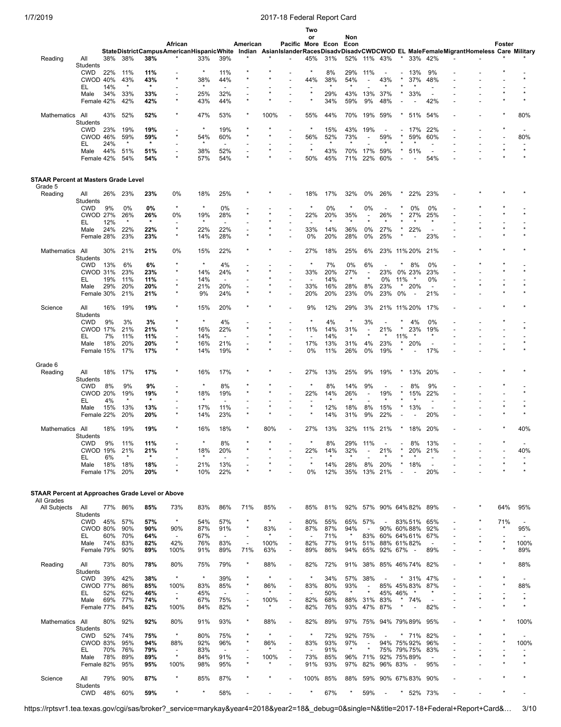|                                                         |                               |            |                |                |                                          |            |                                 |                                     |         |                                                      | Two<br>or                       |            | Non            |                          |                          |                          |                          |                                 |                                                                                         |        |                                 |
|---------------------------------------------------------|-------------------------------|------------|----------------|----------------|------------------------------------------|------------|---------------------------------|-------------------------------------|---------|------------------------------------------------------|---------------------------------|------------|----------------|--------------------------|--------------------------|--------------------------|--------------------------|---------------------------------|-----------------------------------------------------------------------------------------|--------|---------------------------------|
|                                                         |                               |            |                |                | African                                  |            |                                 | American                            |         |                                                      | Pacific More Econ               |            | Econ           |                          |                          |                          |                          |                                 |                                                                                         | Foster |                                 |
|                                                         |                               |            |                |                | StateDistrictCampusAmericanHispanicWhite |            |                                 |                                     |         |                                                      |                                 |            |                |                          |                          |                          |                          |                                 | Indian AsianIslanderRacesDisadvDisadvCWDCWOD EL MaleFemaleMigrantHomeless Care Military |        |                                 |
| Reading                                                 | All<br>Students               | 38%        | 38%            | 38%            |                                          | 33%        | 39%                             |                                     |         |                                                      | 45%                             | 31%        | 52%            |                          | 11% 43%                  | $\star$                  | 33%                      | 42%                             |                                                                                         |        |                                 |
|                                                         | <b>CWD</b>                    | 22%        | 11%            | 11%            |                                          | $\star$    | 11%                             |                                     |         |                                                      | $\star$                         | 8%         | 29%            | 11%                      |                          |                          | 13%                      | 9%                              |                                                                                         |        |                                 |
|                                                         | CWOD 40%                      |            | 43%            | 43%            | $\star$                                  | 38%        | 44%                             |                                     |         |                                                      | 44%                             | 38%        | 54%            |                          | 43%                      |                          | 37%                      | 48%                             |                                                                                         |        |                                 |
|                                                         | EL<br>Male                    | 14%<br>34% | $\star$<br>33% | $\star$<br>33% |                                          | 25%        | 32%                             |                                     |         |                                                      | $\star$                         | 29%        | 43%            | 13%                      | 37%                      |                          | 33%                      | $\overline{\phantom{a}}$        |                                                                                         |        |                                 |
|                                                         | Female 42%                    |            | 42%            | 42%            |                                          | 43%        | 44%                             |                                     |         |                                                      |                                 | 34%        | 59%            | 9%                       | 48%                      |                          |                          | 42%                             |                                                                                         |        |                                 |
|                                                         |                               |            |                |                |                                          |            |                                 |                                     |         |                                                      |                                 |            |                |                          |                          |                          |                          |                                 |                                                                                         |        |                                 |
| Mathematics All                                         | Students                      | 43%        | 52%            | 52%            |                                          | 47%        | 53%                             |                                     | 100%    | $\overline{\phantom{a}}$                             | 55%                             | 44%        | 70%            | 19%                      | 59%                      |                          | 51%                      | 54%                             |                                                                                         |        | 80%                             |
|                                                         | <b>CWD</b>                    | 23%        | 19%            | 19%            |                                          | $\star$    | 19%                             |                                     |         |                                                      | $\ast$                          | 15%        | 43%            | 19%                      |                          |                          | 17%                      | 22%                             |                                                                                         |        |                                 |
|                                                         | CWOD 46%                      |            | 59%            | 59%            |                                          | 54%        | 60%                             |                                     |         |                                                      | 56%                             | 52%        | 73%            |                          | 59%                      |                          | 59%                      | 60%                             |                                                                                         |        | 80%                             |
|                                                         | EL<br>Male                    | 24%<br>44% | $\star$<br>51% | $\star$<br>51% |                                          | 38%        | 52%                             |                                     |         |                                                      | $\star$                         | 43%        | 70%            | 17%                      | 59%                      |                          | 51%                      | $\overline{\phantom{a}}$        |                                                                                         |        |                                 |
|                                                         | Female 42%                    |            | 54%            | 54%            |                                          | 57%        | 54%                             |                                     |         |                                                      | 50%                             | 45%        | 71%            | 22%                      | 60%                      |                          |                          | 54%                             |                                                                                         |        |                                 |
| <b>STAAR Percent at Masters Grade Level</b>             |                               |            |                |                |                                          |            |                                 |                                     |         |                                                      |                                 |            |                |                          |                          |                          |                          |                                 |                                                                                         |        |                                 |
| Grade 5                                                 |                               |            |                |                |                                          |            |                                 |                                     |         |                                                      |                                 |            |                |                          |                          |                          |                          |                                 |                                                                                         |        |                                 |
| Reading                                                 | All<br>Students               | 26%        | 23%            | 23%            | 0%                                       | 18%        | 25%                             |                                     |         |                                                      | 18%                             | 17%        | 32%            | 0%                       | 26%                      |                          | 22%                      | 23%                             |                                                                                         |        |                                 |
|                                                         | <b>CWD</b>                    | 9%         | 0%             | 0%             | $\star$                                  | $\star$    | 0%                              |                                     |         |                                                      | $\ast$                          | 0%         | $\star$        | 0%                       | $\overline{\phantom{a}}$ |                          | 0%                       | 0%                              |                                                                                         |        |                                 |
|                                                         | <b>CWOD 27%</b>               |            | 26%<br>$\ast$  | 26%<br>$\star$ | 0%                                       | 19%        | 28%                             |                                     |         |                                                      | 22%                             | 20%        | 35%            |                          | 26%                      |                          | 27%                      | 25%                             |                                                                                         |        |                                 |
|                                                         | EL<br>Male                    | 12%<br>24% | 22%            | 22%            | $\star$                                  | 22%        | $\overline{a}$<br>22%           |                                     |         |                                                      | 33%                             | 14%        | 36%            | 0%                       | 27%                      |                          | 22%                      | $\overline{\phantom{a}}$        |                                                                                         |        |                                 |
|                                                         | Female 28%                    |            | 23%            | 23%            | $\star$                                  | 14%        | 28%                             | $\star$                             |         |                                                      | 0%                              | 20%        | 28%            | 0%                       | 25%                      |                          | ÷,                       | 23%                             |                                                                                         |        |                                 |
|                                                         |                               |            |                |                |                                          |            |                                 |                                     |         |                                                      |                                 |            |                |                          |                          |                          |                          |                                 |                                                                                         |        |                                 |
| Mathematics All                                         | <b>Students</b>               | 30%        | 21%            | 21%            | 0%                                       | 15%        | 22%                             |                                     |         |                                                      | 27%                             | 18%        | 25%            | 6%                       | 23%                      |                          | 11% 20%                  | 21%                             |                                                                                         |        |                                 |
|                                                         | <b>CWD</b>                    | 13%        | 6%             | 6%             |                                          | $\star$    | 4%                              |                                     |         |                                                      | $\star$                         | 7%         | 0%             | 6%                       |                          | ×                        | 8%                       | 0%                              |                                                                                         |        |                                 |
|                                                         | <b>CWOD 31%</b>               |            | 23%            | 23%            |                                          | 14%        | 24%                             |                                     |         |                                                      | 33%                             | 20%        | 27%<br>$\star$ |                          | 23%                      |                          | 0% 23%                   | 23%                             |                                                                                         |        |                                 |
|                                                         | EL<br>Male                    | 19%<br>29% | 11%<br>20%     | 11%<br>20%     | $\star$                                  | 14%<br>21% | $\overline{\phantom{0}}$<br>20% |                                     |         |                                                      | $\overline{\phantom{a}}$<br>33% | 14%<br>16% | 28%            | 8%                       | 0%<br>23%                | 11%<br>$\star$           | 20%                      | 0%<br>$\blacksquare$            |                                                                                         |        |                                 |
|                                                         | Female 30%                    |            | 21%            | 21%            |                                          | 9%         | 24%                             |                                     |         |                                                      | 20%                             | 20%        | 23%            | 0%                       | 23%                      | 0%                       | $\overline{\phantom{a}}$ | 21%                             |                                                                                         |        |                                 |
| Science                                                 | All<br>Students               | 16%        | 19%            | 19%            |                                          | 15%        | 20%                             |                                     |         |                                                      | 9%                              | 12%        | 29%            | 3%                       | 21% 11% 20%              |                          |                          | 17%                             |                                                                                         |        |                                 |
|                                                         | <b>CWD</b>                    | 9%         | 3%             | 3%             |                                          | $\star$    | 4%                              |                                     |         |                                                      | $\ast$                          | 4%         |                | 3%                       |                          |                          | 4%                       | 0%                              |                                                                                         |        |                                 |
|                                                         | <b>CWOD 17%</b>               |            | 21%            | 21%            |                                          | 16%        | 22%                             |                                     |         |                                                      | 11%                             | 14%        | 31%            |                          | 21%                      |                          | 23%                      | 19%                             |                                                                                         |        |                                 |
|                                                         | EL<br>Male                    | 7%<br>18%  | 11%<br>20%     | 11%<br>20%     |                                          | 14%<br>16% | 21%                             |                                     |         |                                                      | 17%                             | 14%<br>13% | 31%            | 4%                       | $\star$<br>23%           | 11%                      | 20%                      | $\overline{\phantom{a}}$        |                                                                                         |        |                                 |
|                                                         | Female 15%                    |            | 17%            | 17%            |                                          | 14%        | 19%                             |                                     |         |                                                      | 0%                              | 11%        | 26%            | 0%                       | 19%                      |                          |                          | 17%                             |                                                                                         |        |                                 |
|                                                         |                               |            |                |                |                                          |            |                                 |                                     |         |                                                      |                                 |            |                |                          |                          |                          |                          |                                 |                                                                                         |        |                                 |
| Grade 6<br>Reading                                      | All                           | 18%        | 17%            | 17%            |                                          | 16%        | 17%                             |                                     |         |                                                      | 27%                             | 13%        | 25%            | 9%                       | 19%                      |                          | 13%                      | 20%                             |                                                                                         |        |                                 |
|                                                         | Students                      |            |                |                |                                          |            |                                 |                                     |         |                                                      |                                 |            |                |                          |                          |                          |                          |                                 |                                                                                         |        |                                 |
|                                                         | <b>CWD</b><br><b>CWOD 20%</b> | 8%         | 9%             | 9%             |                                          | $\star$    | 8%                              |                                     |         |                                                      | $\star$                         | 8%         | 14%            | 9%                       |                          |                          | 8%                       | 9%                              |                                                                                         |        |                                 |
|                                                         | EL                            | 4%         | 19%<br>$\star$ | 19%<br>$\star$ |                                          | 18%        | 19%                             |                                     |         |                                                      | 22%                             | 14%        | 26%            |                          | 19%                      |                          | 15%                      | 22%                             |                                                                                         |        |                                 |
|                                                         | Male                          | 15%        | 13%            | 13%            |                                          | 17%        | 11%                             |                                     |         |                                                      | $\star$                         | 12%        | 18%            | 8%                       | 15%                      |                          | 13%                      |                                 |                                                                                         |        |                                 |
|                                                         | Female 22%                    |            | 20%            | 20%            |                                          | 14%        | 23%                             |                                     |         |                                                      |                                 | 14%        | 31%            | 9%                       | 22%                      |                          |                          | 20%                             |                                                                                         |        |                                 |
| Mathematics                                             | All                           | 18%        | 19%            | 19%            |                                          | 16%        | 18%                             |                                     | 80%     |                                                      | 27%                             | 13%        | 32%            | 11%                      | 21%                      |                          | 18%                      | 20%                             |                                                                                         |        | 40%                             |
|                                                         | Students                      |            |                |                |                                          |            |                                 |                                     |         |                                                      |                                 |            |                |                          |                          |                          |                          |                                 |                                                                                         |        |                                 |
|                                                         | <b>CWD</b>                    | 9%         | 11%            | 11%            |                                          |            | 8%                              |                                     |         |                                                      |                                 | 8%         | 29%            | 11%                      |                          |                          | 8%                       | 13%                             |                                                                                         |        |                                 |
|                                                         | <b>CWOD 19%</b><br>EL         | 6%         | 21%<br>$\star$ | 21%<br>$\star$ |                                          | 18%        | 20%                             |                                     |         |                                                      | 22%                             | 14%        | 32%            | $\overline{a}$           | 21%                      |                          | 20%                      | 21%                             |                                                                                         |        | 40%                             |
|                                                         | Male                          | 18%        | 18%            | 18%            |                                          | 21%        | 13%                             |                                     |         |                                                      | $\star$                         | 14%        | 28%            | 8%                       | 20%                      |                          | 18%                      | $\overline{\phantom{a}}$        |                                                                                         |        | $\star$                         |
|                                                         | Female 17%                    |            | 20%            | 20%            |                                          | 10%        | 22%                             |                                     |         |                                                      | 0%                              | 12%        | 35%            | 13%                      | 21%                      | $\overline{\phantom{a}}$ | $\overline{\phantom{a}}$ | 20%                             |                                                                                         |        |                                 |
| <b>STAAR Percent at Approaches Grade Level or Above</b> |                               |            |                |                |                                          |            |                                 |                                     |         |                                                      |                                 |            |                |                          |                          |                          |                          |                                 |                                                                                         |        |                                 |
| All Grades<br>All Subjects                              | All                           |            | 77% 86%        | 85%            | 73%                                      | 83%        | 86%                             | 71%                                 | 85%     |                                                      | 85%                             | 81%        |                | 92% 57% 90% 64% 82%      |                          |                          |                          | 89%                             |                                                                                         | 64%    | 95%                             |
|                                                         | <b>Students</b>               |            |                |                | $\star$                                  |            |                                 | $\star$                             | $\star$ |                                                      |                                 |            |                |                          |                          |                          |                          |                                 |                                                                                         |        |                                 |
|                                                         | <b>CWD</b><br><b>CWOD 80%</b> | 45%        | 57%<br>90%     | 57%<br>90%     | 90%                                      | 54%<br>87% | 57%<br>91%                      | $\star$                             | 83%     | $\overline{\phantom{a}}$                             | 80%<br>87%                      | 55%<br>87% | 65%<br>94%     | 57%                      | $\overline{\phantom{a}}$ |                          | 83% 51%<br>90% 60% 88%   | 65%<br>92%                      |                                                                                         | 71%    | $\overline{\phantom{a}}$<br>95% |
|                                                         | EL                            | 60%        | 70%            | 64%            | $\overline{\phantom{a}}$                 | 67%        | $\overline{\phantom{a}}$        | $\blacksquare$                      | $\star$ | $\overline{\phantom{a}}$                             | $\overline{\phantom{a}}$        | 71%        | $\star$        | 83%                      | 60% 64% 61%              |                          |                          | 67%                             |                                                                                         |        | $\overline{\phantom{a}}$        |
|                                                         | Male                          | 74%        | 83%            | 82%            | 42%                                      | 76%        | 83%                             | $\overline{\phantom{a}}$            | 100%    | $\overline{\phantom{a}}$                             | 82%                             | 77%        | 91%            | 51%                      | 88% 61% 82%              |                          |                          | $\overline{\phantom{a}}$        |                                                                                         |        | 100%                            |
|                                                         | Female 79%                    |            | 90%            | 89%            | 100%                                     | 91%        | 89%                             | 71%                                 | 63%     | $\overline{\phantom{a}}$                             | 89%                             | 86%        | 94%            | 65%                      | 92% 67%                  |                          | $\sim$                   | 89%                             |                                                                                         |        | 89%                             |
| Reading                                                 | All                           | 73%        | 80%            | 78%            | 80%                                      | 75%        | 79%                             | $\star$                             | 88%     | $\overline{\phantom{a}}$                             | 82%                             | 72%        | 91%            | 38%                      | 85% 46%74%               |                          |                          | 82%                             |                                                                                         |        | 88%                             |
|                                                         | Students<br><b>CWD</b>        |            |                | 38%            | $\star$                                  | $\star$    | 39%                             |                                     | $\star$ |                                                      | $\star$                         | 34%        | 57%            | 38%                      |                          |                          | $*31\%$                  | 47%                             |                                                                                         |        |                                 |
|                                                         | <b>CWOD 77%</b>               | 39%        | 42%<br>86%     | 85%            | 100%                                     | 83%        | 85%                             |                                     | 86%     |                                                      | 83%                             | 80%        | 93%            | $\overline{a}$           |                          |                          | 85% 45% 83%              | 87%                             |                                                                                         |        | 88%                             |
|                                                         | EL                            | 52%        | 62%            | 46%            | $\overline{\phantom{a}}$                 | 45%        | $\overline{\phantom{a}}$        |                                     |         | $\overline{a}$                                       | $\overline{\phantom{a}}$        | 50%        | $\star$        |                          | 45% 46%                  |                          |                          |                                 |                                                                                         |        |                                 |
|                                                         | Male                          | 69%        | 77%            | 74%            | $\star$                                  | 67%        | 75%                             | $\star$                             | 100%    | $\overline{\phantom{a}}$                             | 82%                             | 68%        |                | 88% 31%                  | 83%<br>47% 87%           | $^\star$                 | 74%                      |                                 |                                                                                         |        | $\star$                         |
|                                                         | Female 77%                    |            | 84%            | 82%            | 100%                                     | 84%        | 82%                             |                                     |         | $\overline{a}$                                       | 82%                             | 76%        | 93%            |                          |                          |                          | $\overline{\phantom{a}}$ | 82%                             |                                                                                         |        |                                 |
| Mathematics All                                         |                               | 80%        | 92%            | 92%            | 80%                                      | 91%        | 93%                             | $^{\star}$                          | 88%     | $\overline{\phantom{a}}$                             | 82%                             | 89%        |                | 97% 75% 94% 79% 89%      |                          |                          |                          | 95%                             |                                                                                         |        | 100%                            |
|                                                         | Students<br><b>CWD</b>        | 52%        | 74%            | 75%            | $\star$                                  | 80%        | 75%                             |                                     | $\star$ |                                                      | $\star$                         | 72%        | 92%            | 75%                      |                          |                          | * 71%                    | 82%                             |                                                                                         |        |                                 |
|                                                         | CWOD 83%                      |            | 95%            | 94%            | 88%                                      | 92%        | 96%                             |                                     | 86%     | $\overline{\phantom{a}}$                             | 83%                             | 93%        | 97%            | $\overline{\phantom{a}}$ |                          |                          | 94% 75% 92%              | 96%                             |                                                                                         |        | 100%                            |
|                                                         | EL                            | 70%        | 76%            | 79%            | $\overline{\phantom{a}}$                 | 83%        |                                 |                                     |         |                                                      | $\overline{a}$                  | 91%        | $\star$        | $\star$                  |                          |                          | 75% 79% 75%              | 83%                             |                                                                                         |        |                                 |
|                                                         | Male<br>Female 82%            | 78%        | 89%<br>95%     | 89%<br>95%     | $\star$<br>100%                          | 84%<br>98% | 91%<br>95%                      | $\overline{\phantom{a}}$<br>$\star$ | 100%    | $\overline{\phantom{a}}$<br>$\overline{\phantom{a}}$ | 73%<br>91%                      | 85%<br>93% | 96%<br>97%     | 71%<br>82%               | 92% 75% 89%<br>96% 83% - |                          |                          | $\overline{\phantom{a}}$<br>95% |                                                                                         |        | $\star$                         |
|                                                         |                               |            |                |                |                                          |            |                                 |                                     |         |                                                      |                                 |            |                |                          |                          |                          |                          |                                 |                                                                                         |        |                                 |
| Science                                                 | All                           | 79%        | 90%            | 87%            | $\star$                                  | 85%        | 87%                             |                                     |         |                                                      | 100%                            | 85%        | 88%            | 59%                      | 90% 67% 83%              |                          |                          | 90%                             |                                                                                         |        |                                 |
|                                                         | Students<br><b>CWD</b>        |            | 48% 60%        | 59%            |                                          |            | 58%                             |                                     |         |                                                      | $^{\ast}$                       | 67%        | $^{\star}$     | 59%                      | $\overline{\phantom{a}}$ | $\star$                  |                          | 52% 73%                         |                                                                                         |        |                                 |
|                                                         |                               |            |                |                |                                          |            |                                 |                                     |         |                                                      |                                 |            |                |                          |                          |                          |                          |                                 |                                                                                         |        |                                 |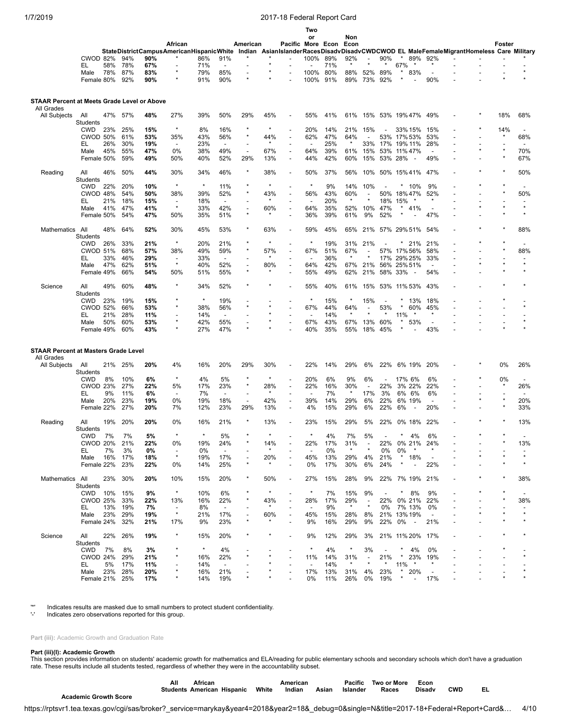|                                                           |                        |           |            |           |                          |           |                                 |                                                      |          |                                                      | Two                      |           |                |                |                 |          |                          |                          |                                                                                                                                  |        |                          |
|-----------------------------------------------------------|------------------------|-----------|------------|-----------|--------------------------|-----------|---------------------------------|------------------------------------------------------|----------|------------------------------------------------------|--------------------------|-----------|----------------|----------------|-----------------|----------|--------------------------|--------------------------|----------------------------------------------------------------------------------------------------------------------------------|--------|--------------------------|
|                                                           |                        |           |            |           |                          |           |                                 |                                                      |          |                                                      | or                       |           | Non            |                |                 |          |                          |                          |                                                                                                                                  |        |                          |
|                                                           |                        |           |            |           | African                  |           |                                 | American                                             |          | Pacific More Econ                                    |                          |           | Econ           |                |                 |          |                          |                          |                                                                                                                                  | Foster |                          |
|                                                           | <b>CWOD 82%</b>        |           | 94%        | 90%       |                          | 86%       |                                 |                                                      |          |                                                      |                          | 89%       | 92%            |                | 90%             | $\star$  |                          |                          | StateDistrictCampusAmericanHispanicWhite Indian AsianIslanderRacesDisadvDisadvCWDCWOD EL MaleFemaleMigrantHomeless Care Military |        |                          |
|                                                           | EL                     | 58%       | 78%        | 67%       |                          | 71%       | 91%<br>$\overline{\phantom{0}}$ |                                                      |          |                                                      | 100%                     | 71%       |                | $\blacksquare$ |                 | 67%      |                          | 89% 92%                  |                                                                                                                                  |        |                          |
|                                                           | Male                   | 78%       | 87%        | 83%       | $\star$                  | 79%       | 85%                             | ٠                                                    |          |                                                      | 100%                     | 80%       | 88%            | 52%            | 89%             |          | 83%                      | $\overline{\phantom{a}}$ |                                                                                                                                  |        |                          |
|                                                           | Female 80%             |           | 92%        | 90%       | $\star$                  | 91%       | 90%                             |                                                      |          |                                                      | 100%                     | 91%       | 89%            | 73%            | 92%             |          |                          | 90%                      |                                                                                                                                  |        |                          |
|                                                           |                        |           |            |           |                          |           |                                 |                                                      |          |                                                      |                          |           |                |                |                 |          |                          |                          |                                                                                                                                  |        |                          |
| STAAR Percent at Meets Grade Level or Above<br>All Grades |                        |           |            |           |                          |           |                                 |                                                      |          |                                                      |                          |           |                |                |                 |          |                          |                          |                                                                                                                                  |        |                          |
| All Subjects                                              | All<br><b>Students</b> | 47%       | 57%        | 48%       | 27%                      | 39%       | 50%                             | 29%                                                  | 45%      |                                                      | 55%                      | 41%       | 61%            |                | 15% 53% 19% 47% |          |                          | 49%                      |                                                                                                                                  | 18%    | 68%                      |
|                                                           | <b>CWD</b>             | 23%       | 25%        | 15%       | $\star$                  | 8%        | 16%                             | $\star$                                              | $\star$  | $\overline{\phantom{a}}$                             | 20%                      | 14%       | 21%            | 15%            |                 |          | 33% 15%                  | 15%                      |                                                                                                                                  | 14%    | $\overline{\phantom{a}}$ |
|                                                           | <b>CWOD 50%</b>        |           | 61%        | 53%       | 35%                      | 43%       | 56%                             | $^{\star}$                                           | 44%      | $\overline{a}$                                       | 62%                      | 47%       | 64%            |                | 53%             | 17% 53%  |                          | 53%                      |                                                                                                                                  |        | 68%                      |
|                                                           | EL                     | 26%       | 30%        | 19%       | $\blacksquare$           | 23%       | $\overline{\phantom{a}}$        |                                                      | $\star$  |                                                      | $\overline{\phantom{a}}$ | 25%       | $\star$        | 33%            | 17%             | 19% 11%  |                          | 28%                      |                                                                                                                                  |        |                          |
|                                                           | Male                   | 45%       | 55%        | 47%       | $0\%$                    | 38%       | 49%                             | $\overline{\phantom{a}}$                             | 67%      | $\overline{\phantom{a}}$                             | 64%                      | 39%       | 61%            | 15%            | 53%             | 11% 47%  |                          | $\overline{\phantom{a}}$ |                                                                                                                                  |        | 70%                      |
|                                                           | Female 50%             |           | 59%        | 49%       | 50%                      | 40%       | 52%                             | 29%                                                  | 13%      | $\overline{\phantom{a}}$                             | 44%                      | 42%       | 60%            | 15%            | 53% 28%         |          | $\overline{\phantom{a}}$ | 49%                      |                                                                                                                                  |        | 67%                      |
| Reading                                                   | All<br>Students        | 46%       | 50%        | 44%       | 30%                      | 34%       | 46%                             | *                                                    | 38%      | $\overline{\phantom{a}}$                             | 50%                      | 37%       | 56%            | 10%            | 50% 15% 41%     |          |                          | 47%                      |                                                                                                                                  |        | 50%                      |
|                                                           | <b>CWD</b>             | 22%       | 20%        | 10%       | $\star$                  | $\star$   | 11%                             |                                                      | $\star$  |                                                      | $\star$                  | 9%        | 14%            | 10%            |                 |          | 10%                      | 9%                       |                                                                                                                                  |        |                          |
|                                                           | CWOD 48%               |           | 54%        | 50%       | 38%                      | 39%       | 52%                             |                                                      | 43%      | $\overline{\phantom{a}}$                             | 56%                      | 43%       | 60%            |                | 50% 18% 47%     |          |                          | 52%                      |                                                                                                                                  |        | 50%                      |
|                                                           | EL                     | 21%       | 18%        | 15%       | $\blacksquare$           | 18%       | $\overline{\phantom{a}}$        |                                                      |          |                                                      |                          | 20%       | $\star$        |                | 18%             | 15%      |                          | *                        |                                                                                                                                  |        |                          |
|                                                           | Male                   | 41%       | 47%        | 41%       | $\star$                  | 33%       | 42%                             | $\overline{\phantom{0}}$                             | 60%      | $\overline{\phantom{a}}$                             | 64%                      | 35%       | 52%            | 10%            | 47%             | *        | 41%                      | $\overline{\phantom{a}}$ |                                                                                                                                  |        |                          |
|                                                           | Female 50%             |           | 54%        | 47%       | 50%                      | 35%       | 51%                             | $^{\star}$                                           |          | $\overline{\phantom{a}}$                             | 36%                      | 39%       | 61%            | 9%             | 52%             |          |                          | 47%                      |                                                                                                                                  |        |                          |
| Mathematics                                               | All<br>Students        | 48%       | 64%        | 52%       | 30%                      | 45%       | 53%                             | *                                                    | 63%      | $\overline{\phantom{a}}$                             | 59%                      | 45%       | 65%            | 21%            | 57% 29% 51%     |          |                          | 54%                      |                                                                                                                                  |        | 88%                      |
|                                                           | <b>CWD</b>             | 26%       | 33%        | 21%       | $\star$                  | 20%       | 21%                             |                                                      | $\star$  | $\overline{\phantom{a}}$                             | $\star$                  | 19%       | 31%            | 21%            |                 |          | 21%                      | 21%                      |                                                                                                                                  |        |                          |
|                                                           | <b>CWOD 51%</b>        |           | 68%        | 57%       | 38%                      | 49%       | 59%                             | $\star$                                              | 57%      | $\overline{\phantom{a}}$                             | 67%                      | 51%       | 67%            |                | 57%             | 17%56%   |                          | 58%                      |                                                                                                                                  |        | 88%                      |
|                                                           | EL                     | 33%       | 46%        | 29%       | $\overline{a}$           | 33%       | $\overline{\phantom{0}}$        |                                                      |          |                                                      | $\overline{\phantom{a}}$ | 36%       | $\star$        |                | 17%             | 29% 25%  |                          | 33%                      |                                                                                                                                  |        |                          |
|                                                           | Male                   | 47%       | 62%        | 51%       | $\star$                  | 40%       | 52%                             | $\overline{\phantom{0}}$<br>$\star$                  | 80%      | $\overline{\phantom{m}}$                             | 64%                      | 42%       | 67%            | 21%            | 56% 25% 51%     |          |                          |                          |                                                                                                                                  |        |                          |
|                                                           | Female 49%             |           | 66%        | 54%       | 50%                      | 51%       | 55%                             |                                                      |          |                                                      | 55%                      | 49%       | 62%            | 21%            | 58% 33%         |          |                          | 54%                      |                                                                                                                                  |        |                          |
| Science                                                   | All<br>Students        | 49%       | 60%        | 48%       | $\star$                  | 34%       | 52%                             |                                                      |          |                                                      | 55%                      | 40%       | 61%            | 15%            | 53% 11% 53%     |          |                          | 43%                      |                                                                                                                                  |        |                          |
|                                                           | <b>CWD</b>             | 23%       | 19%        | 15%       |                          | $\star$   | 19%                             |                                                      |          |                                                      | $\star$                  | 15%       | $\star$        | 15%            |                 |          | 13%                      | 18%                      |                                                                                                                                  |        |                          |
|                                                           | <b>CWOD 52%</b>        |           | 66%        | 53%       |                          | 38%       | 56%                             | ×                                                    |          |                                                      | 67%                      | 44%       | 64%            |                | 53%             | $\star$  | 60%                      | 45%                      |                                                                                                                                  |        |                          |
|                                                           | EL                     | 21%       | 28%        | 11%       |                          | 14%       | $\overline{\phantom{a}}$        |                                                      |          |                                                      | $\overline{\phantom{a}}$ | 14%       | $\star$        |                | $\ast$          | 11%      | $\star$                  | $\star$                  |                                                                                                                                  |        |                          |
|                                                           | Male                   | 50%       | 60%        | 53%       | $\star$                  | 42%       | 55%                             | $\overline{\phantom{0}}$                             |          |                                                      | 67%                      | 43%       | 67%            | 13%            | 60%             |          | 53%                      | $\overline{\phantom{a}}$ |                                                                                                                                  |        |                          |
|                                                           | Female 49%             |           | 60%        | 43%       | $\star$                  | 27%       | 47%                             | $\star$                                              |          |                                                      | 40%                      | 35%       | 55%            | 18%            | 45%             |          |                          | 43%                      |                                                                                                                                  |        |                          |
|                                                           |                        |           |            |           |                          |           |                                 |                                                      |          |                                                      |                          |           |                |                |                 |          |                          |                          |                                                                                                                                  |        |                          |
| <b>STAAR Percent at Masters Grade Level</b><br>All Grades |                        |           |            |           |                          |           |                                 |                                                      |          |                                                      |                          |           |                |                |                 |          |                          |                          |                                                                                                                                  |        |                          |
| All Subjects                                              | All                    | 21%       | 25%        | 20%       | 4%                       | 16%       | 20%                             | 29%                                                  | 30%      |                                                      | 22%                      | 14%       | 29%            | 6%             | 22%             |          | 6% 19%                   | 20%                      |                                                                                                                                  | 0%     | 26%                      |
|                                                           | Students               |           |            |           | $\star$                  |           |                                 |                                                      | $\star$  |                                                      |                          |           |                |                |                 |          |                          |                          |                                                                                                                                  |        |                          |
|                                                           | <b>CWD</b>             | 8%        | 10%        | 6%        |                          | 4%        | 5%                              | ×                                                    |          |                                                      | 20%                      | 6%        | 9%             | 6%             |                 | 17% 6%   |                          | 6%                       |                                                                                                                                  | 0%     |                          |
|                                                           | <b>CWOD 23%</b>        |           | 27%        | 22%       | 5%<br>$\overline{a}$     | 17%       | 23%<br>$\overline{\phantom{a}}$ |                                                      | 28%<br>* | $\overline{a}$                                       | 22%                      | 16%<br>7% | 30%<br>$\star$ | 17%            | 22%             |          | 3% 22%                   | 22%<br>6%                | $\overline{\phantom{a}}$                                                                                                         |        | 26%                      |
|                                                           | EL<br>Male             | 9%<br>20% | 11%<br>23% | 6%<br>19% | 0%                       | 7%<br>19% | 18%                             | $\overline{\phantom{a}}$<br>$\overline{\phantom{0}}$ | 42%      | $\overline{\phantom{a}}$<br>$\overline{\phantom{a}}$ | 39%                      | 14%       | 29%            | 6%             | 3%<br>22%       | 6% 6%    | 6% 19%                   | $\overline{\phantom{a}}$ |                                                                                                                                  |        | 20%                      |
|                                                           | Female 22%             |           | 27%        | 20%       | 7%                       | 12%       | 23%                             | 29%                                                  | 13%      | $\overline{\phantom{a}}$                             | 4%                       | 15%       | 29%            | 6%             | 22%             | 6%       | $\overline{\phantom{a}}$ | 20%                      |                                                                                                                                  |        | 33%                      |
|                                                           |                        |           |            |           |                          |           |                                 |                                                      |          |                                                      |                          |           |                |                |                 |          |                          |                          |                                                                                                                                  |        |                          |
| Reading                                                   | All<br>Students        | 19%       | 20%        | 20%       | 0%                       | 16%       | 21%                             |                                                      | 13%      | $\overline{\phantom{a}}$                             | 23%                      | 15%       | 29%            | 5%             | 22%             |          | 0% 18%                   | 22%                      |                                                                                                                                  |        | 13%                      |
|                                                           | <b>CWD</b>             | 7%        | 7%         | 5%        | $\star$                  | $\star$   | 5%                              |                                                      |          |                                                      | $\star$                  | 4%        | 7%             | 5%             |                 |          | 4%                       | 6%                       |                                                                                                                                  |        |                          |
|                                                           | CWOD 20%               |           | 21%        | 22%       | 0%                       | 19%       | 24%                             |                                                      | 14%      |                                                      | 22%                      | 17%       | 31%            |                | 22%             | 0% 21%   |                          | 24%                      |                                                                                                                                  |        | 13%                      |
|                                                           | EL.                    | 7%        | 3%         | 0%        |                          | 0%        | $\overline{\phantom{a}}$        |                                                      |          |                                                      |                          | 0%        | $\star$        |                | 0%              | 0%       | $\star$                  |                          |                                                                                                                                  |        |                          |
|                                                           | Male                   | 16%       | 17%        | 18%       | $\star$                  | 19%       | 17%                             |                                                      | 20%      |                                                      | 45%                      | 13%       | 29%            | 4%             | 21%             |          | $*18%$                   | $\overline{\phantom{a}}$ |                                                                                                                                  |        |                          |
|                                                           | Female 22%             |           | 23%        | 22%       | 0%                       | 14%       | 25%                             | $\star$                                              | *        |                                                      | 0%                       | 17%       | 30%            | 6%             | 24%             | $^\star$ | $\overline{\phantom{a}}$ | 22%                      |                                                                                                                                  |        |                          |
| Mathematics All                                           | Students               | 23% 30%   |            | 20%       | 10%                      | 15%       | 20%                             | $^{\star}$                                           | 50%      | $\overline{\phantom{a}}$                             | 27%                      | 15%       | 28%            | 9%             | 22% 7% 19%      |          |                          | 21%                      |                                                                                                                                  |        | 38%                      |
|                                                           | CWD 10%                |           | 15%        | 9%        | $\star$                  | 10%       | 6%                              |                                                      | $\star$  |                                                      | $\star$                  | 7%        | 15%            | 9%             | $\overline{a}$  | *        | 8%                       | 9%                       |                                                                                                                                  |        |                          |
|                                                           | <b>CWOD 25%</b>        |           | 33%        | 22%       | 13%                      | 16%       | 22%                             | $^{\star}$                                           | 43%      |                                                      | 28%                      | 17%       | 29%            |                | 22%             |          | 0% 21%                   | 22%                      |                                                                                                                                  |        | 38%                      |
|                                                           | EL.                    | 13%       | 19%        | 7%        | $\overline{\phantom{a}}$ | 8%        | $\overline{\phantom{a}}$        |                                                      |          |                                                      | $\overline{\phantom{a}}$ | 9%        | $\star$        |                | 0%              |          | 7% 13%                   | 0%                       |                                                                                                                                  |        |                          |
|                                                           | Male                   | 23%       | 29%        | 19%       | $\star$                  | 21%       | 17%                             | $\overline{\phantom{a}}$                             | 60%      | $\overline{\phantom{0}}$                             | 45%                      | 15%       | 28%            | 8%             | 21% 13% 19%     |          |                          | $\overline{\phantom{a}}$ |                                                                                                                                  |        | $\star$                  |
|                                                           | Female 24%             |           | 32%        | 21%       | 17%                      | 9%        | 23%                             | $\star$                                              |          |                                                      | 9%                       | 16%       | 29%            | 9%             | 22% 0%          |          | $\sim$ $-$               | 21%                      |                                                                                                                                  |        |                          |
| Science                                                   | All                    | 22%       | 26%        | 19%       | $\star$                  | 15%       | 20%                             |                                                      |          |                                                      | 9%                       | 12%       | 29%            | 3%             | 21% 11% 20%     |          |                          | 17%                      |                                                                                                                                  |        |                          |
|                                                           | Students<br>CWD        | 7%        | 8%         | 3%        |                          | $^\star$  | 4%                              |                                                      |          |                                                      | $\star$                  | 4%        | $\star$        | 3%             |                 | *        | 4%                       | 0%                       |                                                                                                                                  |        |                          |
|                                                           | <b>CWOD 24%</b>        |           | 29%        | 21%       | $\star$                  | 16%       | 22%                             | ×                                                    |          |                                                      | 11%                      | 14%       | 31%            | $\overline{a}$ | 21%             | $\star$  | 23%                      | 19%                      |                                                                                                                                  |        |                          |
|                                                           | EL.                    | 5%        | 17%        | 11%       |                          | 14%       | $\overline{\phantom{a}}$        |                                                      |          |                                                      | $\overline{\phantom{a}}$ | 14%       |                |                | $\star$         | 11%      | $\star$                  | $\star$                  |                                                                                                                                  |        |                          |
|                                                           | Male                   | 23%       | 28%        | 20%       |                          | 16%       | 21%                             |                                                      |          |                                                      | 17%                      | 13%       | 31%            | 4%             | 23%             | $\star$  | 20%                      |                          |                                                                                                                                  |        |                          |
|                                                           | Female 21% 25%         |           |            | 17%       |                          | 14%       | 19%                             |                                                      |          |                                                      | 0%                       | 11%       | 26%            | 0%             | 19%             | $^\star$ | $\sim 10^{-11}$          | 17%                      |                                                                                                                                  |        |                          |

'\*' Indicates results are masked due to small numbers to protect student confidentiality.

Indicates zero observations reported for this group.

Part (iii): Academic Growth and Graduation Rate

## **Part (iii)(I): Academic Growth**

This section provides information on students' academic growth for mathematics and ELA/reading for public elementary schools and secondary schools which don't have a graduation<br>rate. These results include all students test

|                                                                                                                                        | ΑIΙ | African                           |       | American |       | Pacific  | Two or More | Econ   |            |    |      |
|----------------------------------------------------------------------------------------------------------------------------------------|-----|-----------------------------------|-------|----------|-------|----------|-------------|--------|------------|----|------|
| <b>Academic Growth Score</b>                                                                                                           |     | <b>Students American Hispanic</b> | White | Indian   | Asian | Islander | Races       | Disadv | <b>CWD</b> | ΕL |      |
| https://rptsvr1.tea.texas.gov/cqi/sas/broker? service=marykay&year4=2018&year2=18& debug=0&single=N&title=2017-18+Federal+Report+Card& |     |                                   |       |          |       |          |             |        |            |    | 4/10 |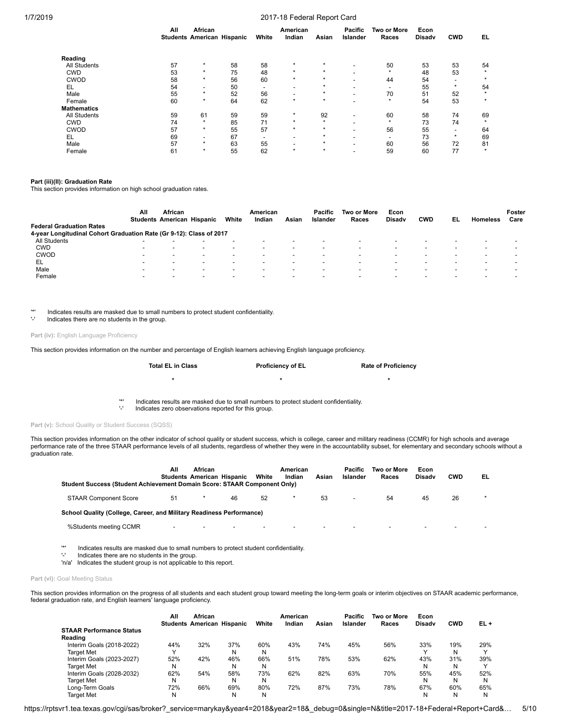|                     | All | African<br><b>Students American Hispanic</b> |    | White | American<br>Indian       | Asian   | <b>Pacific</b><br>Islander | <b>Two or More</b><br>Races | Econ<br>Disadv | <b>CWD</b>               | EL      |
|---------------------|-----|----------------------------------------------|----|-------|--------------------------|---------|----------------------------|-----------------------------|----------------|--------------------------|---------|
| Reading             |     |                                              |    |       |                          |         |                            |                             |                |                          |         |
| <b>All Students</b> | 57  | $\star$                                      | 58 | 58    | $\star$                  | ÷       | $\overline{\phantom{a}}$   | 50                          | 53             | 53                       | 54      |
| <b>CWD</b>          | 53  | $\star$                                      | 75 | 48    | $\star$                  | $\star$ |                            | $\star$                     | 48             | 53                       |         |
| CWOD                | 58  | $\star$                                      | 56 | 60    | $\star$                  | $\star$ |                            | 44                          | 54             | $\overline{\phantom{a}}$ | $\star$ |
| EL                  | 54  | $\overline{\phantom{0}}$                     | 50 |       | $\overline{\phantom{0}}$ | $\star$ |                            | $\blacksquare$              | 55             | $\star$                  | 54      |
| Male                | 55  | $\star$                                      | 52 | 56    |                          | $\star$ |                            | 70                          | 51             | 52                       | $\star$ |
| Female              | 60  | $\star$                                      | 64 | 62    | $\star$                  | $\star$ | $\overline{\phantom{0}}$   | $\star$                     | 54             | 53                       | $\star$ |
| <b>Mathematics</b>  |     |                                              |    |       |                          |         |                            |                             |                |                          |         |
| <b>All Students</b> | 59  | 61                                           | 59 | 59    | $\star$                  | 92      | $\overline{\phantom{0}}$   | 60                          | 58             | 74                       | 69      |
| <b>CWD</b>          | 74  | $\star$                                      | 85 | 71    | $\star$                  | $\star$ | $\overline{\phantom{0}}$   | $\star$                     | 73             | 74                       |         |
| <b>CWOD</b>         | 57  | $\star$                                      | 55 | 57    | $\star$                  | $\star$ |                            | 56                          | 55             | $\overline{\phantom{a}}$ | 64      |
| EL                  | 69  | $\overline{\phantom{a}}$                     | 67 |       | $\overline{\phantom{a}}$ | *       |                            | $\overline{\phantom{a}}$    | 73             | $\star$                  | 69      |
| Male                | 57  | $\star$                                      | 63 | 55    |                          | $\star$ |                            | 60                          | 56             | 72                       | 81      |
| Female              | 61  | $\star$                                      | 55 | 62    | $\star$                  | $\star$ |                            | 59                          | 60             | 77                       | $\star$ |

## **Part (iii)(II): Graduation Rate**

This section provides information on high school graduation rates.

| <b>Federal Graduation Rates</b>                                     | All                      | African<br><b>Students American Hispanic</b> |                          | White                    | American<br>Indian       | Asian                    | Pacific<br>Islander | Two or More<br>Races | Econ<br><b>Disady</b>    | <b>CWD</b> | EL | <b>Homeless</b> | Foster<br>Care |
|---------------------------------------------------------------------|--------------------------|----------------------------------------------|--------------------------|--------------------------|--------------------------|--------------------------|---------------------|----------------------|--------------------------|------------|----|-----------------|----------------|
| 4-year Longitudinal Cohort Graduation Rate (Gr 9-12): Class of 2017 |                          |                                              |                          |                          |                          |                          |                     |                      |                          |            |    |                 |                |
| All Students                                                        | -                        |                                              |                          |                          | $\overline{\phantom{a}}$ |                          |                     |                      |                          |            |    |                 | -              |
| <b>CWD</b>                                                          | -                        |                                              |                          |                          | $\overline{\phantom{a}}$ |                          |                     |                      |                          |            |    |                 |                |
| <b>CWOD</b>                                                         | -                        | -                                            | $\overline{\phantom{0}}$ | -                        | $\blacksquare$           |                          | $\blacksquare$      | -                    |                          |            |    |                 |                |
| EL                                                                  | -                        |                                              |                          |                          | $\blacksquare$           |                          |                     |                      |                          |            |    |                 |                |
| Male                                                                |                          |                                              | $\overline{\phantom{0}}$ |                          | $\overline{\phantom{a}}$ |                          | $\blacksquare$      |                      |                          |            |    |                 |                |
| Female                                                              | $\overline{\phantom{a}}$ | -                                            | $\overline{\phantom{a}}$ | $\overline{\phantom{a}}$ | $\overline{\phantom{0}}$ | $\overline{\phantom{0}}$ | $\blacksquare$      |                      | $\overline{\phantom{0}}$ |            |    |                 |                |

'\*' Indicates results are masked due to small numbers to protect student confidentiality.

Indicates there are no students in the group.

Part (iv): English Language Proficiency

This section provides information on the number and percentage of English learners achieving English language proficiency.

| <b>Total EL in Class</b> | <b>Proficiency of EL</b> | <b>Rate of Proficiency</b> |
|--------------------------|--------------------------|----------------------------|
|                          | ÷                        |                            |
|                          |                          |                            |

'\*' Indicates results are masked due to small numbers to protect student confidentiality.

Indicates zero observations reported for this group.

Part (v): School Quality or Student Success (SQSS)

This section provides information on the other indicator of school quality or student success, which is college, career and military readiness (CCMR) for high schools and average<br>performance rate of the three STAAR perform graduation rate.

| Student Success (Student Achievement Domain Score: STAAR Component Only) | All<br><b>Students American Hispanic</b> | African                  |    | White                    | American<br>Indian | Asian                    | Pacific<br>Islander | Two or More<br>Races     | Econ<br><b>Disady</b>    | <b>CWD</b>               | EL |
|--------------------------------------------------------------------------|------------------------------------------|--------------------------|----|--------------------------|--------------------|--------------------------|---------------------|--------------------------|--------------------------|--------------------------|----|
| <b>STAAR Component Score</b>                                             | 51                                       |                          | 46 | 52                       |                    | 53                       |                     | 54                       | 45                       | 26                       |    |
| School Quality (College, Career, and Military Readiness Performance)     |                                          |                          |    |                          |                    |                          |                     |                          |                          |                          |    |
| %Students meeting CCMR                                                   | -                                        | $\overline{\phantom{a}}$ |    | $\overline{\phantom{0}}$ | $\sim$             | $\overline{\phantom{a}}$ |                     | $\overline{\phantom{0}}$ | $\overline{\phantom{a}}$ | $\overline{\phantom{a}}$ |    |

'\*' Indicates results are masked due to small numbers to protect student confidentiality.

Indicates there are no students in the group.

'n/a' Indicates the student group is not applicable to this report.

## Part (vi): Goal Meeting Status

This section provides information on the progress of all students and each student group toward meeting the long-term goals or interim objectives on STAAR academic performance, federal graduation rate, and English learners' language proficiency.

|                                 | All          | African                           |     |       | American |       | Pacific  | Two or More | Econ          |            |              |
|---------------------------------|--------------|-----------------------------------|-----|-------|----------|-------|----------|-------------|---------------|------------|--------------|
|                                 |              | <b>Students American Hispanic</b> |     | White | Indian   | Asian | Islander | Races       | <b>Disady</b> | <b>CWD</b> | EL+          |
| <b>STAAR Performance Status</b> |              |                                   |     |       |          |       |          |             |               |            |              |
| Reading                         |              |                                   |     |       |          |       |          |             |               |            |              |
| Interim Goals (2018-2022)       | 44%          | 32%                               | 37% | 60%   | 43%      | 74%   | 45%      | 56%         | 33%           | 19%        | 29%          |
| Target Met                      | $\checkmark$ |                                   | N   | N     |          |       |          |             |               | N          | $\checkmark$ |
| Interim Goals (2023-2027)       | 52%          | 42%                               | 46% | 66%   | 51%      | 78%   | 53%      | 62%         | 43%           | 31%        | 39%          |
| Target Met                      | N            |                                   | N   | N     |          |       |          |             | N             | Ν          | $\checkmark$ |
| Interim Goals (2028-2032)       | 62%          | 54%                               | 58% | 73%   | 62%      | 82%   | 63%      | 70%         | 55%           | 45%        | 52%          |
| Target Met                      | N            |                                   | N   | N     |          |       |          |             | N             | Ν          | N            |
| Long-Term Goals                 | 72%          | 66%                               | 69% | 80%   | 72%      | 87%   | 73%      | 78%         | 67%           | 60%        | 65%          |
| Target Met                      | N            |                                   | N   | N     |          |       |          |             | N             | N          | N            |

https://rptsvr1.tea.texas.gov/cgi/sas/broker?\_service=marykay&year4=2018&year2=18&\_debug=0&single=N&title=2017-18+Federal+Report+Card&… 5/10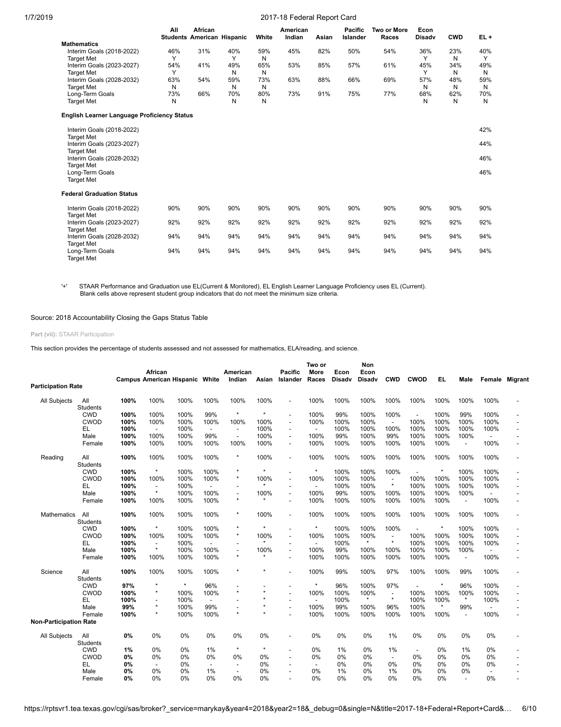| 1/7/2019 |  |
|----------|--|
|          |  |

## 2017-18 Federal Report Card

|                                                    | All | African<br><b>Students American Hispanic</b> |     | White | American<br>Indian | Asian | <b>Pacific</b><br>Islander | Two or More<br>Races | Econ<br><b>Disadv</b> | <b>CWD</b> | $EL +$ |
|----------------------------------------------------|-----|----------------------------------------------|-----|-------|--------------------|-------|----------------------------|----------------------|-----------------------|------------|--------|
| <b>Mathematics</b>                                 |     |                                              |     |       |                    |       |                            |                      |                       |            |        |
| Interim Goals (2018-2022)                          | 46% | 31%                                          | 40% | 59%   | 45%                | 82%   | 50%                        | 54%                  | 36%                   | 23%        | 40%    |
| <b>Target Met</b>                                  | Υ   |                                              | Υ   | N     |                    |       |                            |                      | Υ                     | N          | Y      |
| Interim Goals (2023-2027)                          | 54% | 41%                                          | 49% | 65%   | 53%                | 85%   | 57%                        | 61%                  | 45%                   | 34%        | 49%    |
| <b>Target Met</b>                                  | Υ   |                                              | N   | N     |                    |       |                            |                      | Υ                     | N          | N      |
| Interim Goals (2028-2032)                          | 63% | 54%                                          | 59% | 73%   | 63%                | 88%   | 66%                        | 69%                  | 57%                   | 48%        | 59%    |
| <b>Target Met</b>                                  | N   |                                              | N   | N     |                    |       |                            |                      | N                     | N          | N      |
| Long-Term Goals                                    | 73% | 66%                                          | 70% | 80%   | 73%                | 91%   | 75%                        | 77%                  | 68%                   | 62%        | 70%    |
| <b>Target Met</b>                                  | N   |                                              | N   | N     |                    |       |                            |                      | N                     | N          | N      |
| <b>English Learner Language Proficiency Status</b> |     |                                              |     |       |                    |       |                            |                      |                       |            |        |
| Interim Goals (2018-2022)                          |     |                                              |     |       |                    |       |                            |                      |                       |            | 42%    |
| <b>Target Met</b>                                  |     |                                              |     |       |                    |       |                            |                      |                       |            |        |
| Interim Goals (2023-2027)                          |     |                                              |     |       |                    |       |                            |                      |                       |            | 44%    |
| <b>Target Met</b>                                  |     |                                              |     |       |                    |       |                            |                      |                       |            |        |
| Interim Goals (2028-2032)                          |     |                                              |     |       |                    |       |                            |                      |                       |            | 46%    |
| <b>Target Met</b>                                  |     |                                              |     |       |                    |       |                            |                      |                       |            |        |
| Long-Term Goals                                    |     |                                              |     |       |                    |       |                            |                      |                       |            | 46%    |
| <b>Target Met</b>                                  |     |                                              |     |       |                    |       |                            |                      |                       |            |        |
| <b>Federal Graduation Status</b>                   |     |                                              |     |       |                    |       |                            |                      |                       |            |        |
| Interim Goals (2018-2022)                          | 90% | 90%                                          | 90% | 90%   | 90%                | 90%   | 90%                        | 90%                  | 90%                   | 90%        | 90%    |
| <b>Target Met</b>                                  |     |                                              |     |       |                    |       |                            |                      |                       |            |        |
| Interim Goals (2023-2027)                          | 92% | 92%                                          | 92% | 92%   | 92%                | 92%   | 92%                        | 92%                  | 92%                   | 92%        | 92%    |
| <b>Target Met</b>                                  |     |                                              |     |       |                    |       |                            |                      |                       |            |        |
| Interim Goals (2028-2032)                          | 94% | 94%                                          | 94% | 94%   | 94%                | 94%   | 94%                        | 94%                  | 94%                   | 94%        | 94%    |
| <b>Target Met</b>                                  |     |                                              |     |       |                    |       |                            |                      |                       |            |        |
| Long-Term Goals                                    | 94% | 94%                                          | 94% | 94%   | 94%                | 94%   | 94%                        | 94%                  | 94%                   | 94%        | 94%    |
| <b>Target Met</b>                                  |     |                                              |     |       |                    |       |                            |                      |                       |            |        |

'+' STAAR Performance and Graduation use EL(Current & Monitored), EL English Learner Language Proficiency uses EL (Current). Blank cells above represent student group indicators that do not meet the minimum size criteria.

Source: 2018 Accountability Closing the Gaps Status Table

## **Part (vii):** STAAR Participation

This section provides the percentage of students assessed and not assessed for mathematics, ELA/reading, and science.

|                               |                               |              | <b>African</b>           | <b>Campus American Hispanic</b> | White                    | American<br>Indian       | Asian        | <b>Pacific</b><br>Islander | Two or<br>More<br>Races  | Econ<br><b>Disadv</b> | Non<br>Econ<br>Disadv | <b>CWD</b>               | <b>CWOD</b>  | EL.          | Male                             | Female                           | Migrant |
|-------------------------------|-------------------------------|--------------|--------------------------|---------------------------------|--------------------------|--------------------------|--------------|----------------------------|--------------------------|-----------------------|-----------------------|--------------------------|--------------|--------------|----------------------------------|----------------------------------|---------|
| <b>Participation Rate</b>     |                               |              |                          |                                 |                          |                          |              |                            |                          |                       |                       |                          |              |              |                                  |                                  |         |
| All Subjects                  | All                           | 100%         | 100%                     | 100%                            | 100%                     | 100%                     | 100%         |                            | 100%                     | 100%                  | 100%                  | 100%                     | 100%         | 100%         | 100%                             | 100%                             |         |
|                               | <b>Students</b><br><b>CWD</b> | 100%         | 100%                     |                                 | 99%                      | $\star$                  | $\star$      |                            | 100%                     |                       |                       |                          |              | 100%         | 99%                              | 100%                             |         |
|                               |                               |              |                          | 100%                            |                          |                          |              |                            |                          | 99%                   | 100%                  | 100%                     |              |              |                                  |                                  |         |
|                               | CWOD                          | 100%         | 100%                     | 100%                            | 100%                     | 100%                     | 100%         |                            | 100%                     | 100%                  | 100%                  |                          | 100%         | 100%         | 100%                             | 100%                             |         |
|                               | EL                            | 100%         | $\overline{\phantom{a}}$ | 100%                            | $\overline{\phantom{a}}$ |                          | 100%         |                            | $\overline{\phantom{0}}$ | 100%                  | 100%                  | 100%                     | 100%         | 100%         | 100%                             | 100%                             |         |
|                               | Male<br>Female                | 100%<br>100% | 100%<br>100%             | 100%<br>100%                    | 99%<br>100%              | $\blacksquare$<br>100%   | 100%<br>100% | $\overline{\phantom{a}}$   | 100%<br>100%             | 99%<br>100%           | 100%<br>100%          | 99%<br>100%              | 100%<br>100% | 100%<br>100% | 100%<br>$\overline{\phantom{a}}$ | $\overline{\phantom{a}}$<br>100% |         |
| Reading                       | All<br>Students               | 100%         | 100%                     | 100%                            | 100%                     | $\star$                  | 100%         | $\overline{\phantom{a}}$   | 100%                     | 100%                  | 100%                  | 100%                     | 100%         | 100%         | 100%                             | 100%                             |         |
|                               | <b>CWD</b>                    | 100%         | $\star$                  | 100%                            | 100%                     |                          |              |                            | $\star$                  | 100%                  | 100%                  | 100%                     |              | $\star$      | 100%                             | 100%                             |         |
|                               | <b>CWOD</b>                   | 100%         | 100%                     | 100%                            | 100%                     | $\star$                  | 100%         | $\overline{\phantom{a}}$   | 100%                     | 100%                  | 100%                  | ÷,                       | 100%         | 100%         | 100%                             | 100%                             |         |
|                               | EL                            | 100%         | $\overline{\phantom{a}}$ | 100%                            |                          |                          |              |                            | $\overline{\phantom{0}}$ | 100%                  | 100%                  | $\star$                  | 100%         | 100%         | 100%                             | 100%                             |         |
|                               | Male                          | 100%         | $\star$                  | 100%                            | 100%                     | $\overline{a}$           | 100%         |                            | 100%                     | 99%                   | 100%                  | 100%                     | 100%         | 100%         | 100%                             | $\overline{a}$                   |         |
|                               | Female                        | 100%         | 100%                     | 100%                            | 100%                     | ÷                        |              |                            | 100%                     | 100%                  | 100%                  | 100%                     | 100%         | 100%         | $\overline{\phantom{a}}$         | 100%                             |         |
| <b>Mathematics</b>            | All                           | 100%         | 100%                     | 100%                            | 100%                     | $\star$                  | 100%         |                            | 100%                     | 100%                  | 100%                  | 100%                     | 100%         | 100%         | 100%                             | 100%                             |         |
|                               | Students                      |              |                          |                                 |                          |                          |              |                            |                          |                       |                       |                          |              |              |                                  |                                  |         |
|                               | <b>CWD</b>                    | 100%         | $\star$                  | 100%                            | 100%                     | $\star$                  | $\star$      |                            | $\star$                  | 100%                  | 100%                  | 100%                     |              | $\star$      | 100%                             | 100%                             |         |
|                               | CWOD                          | 100%         | 100%                     | 100%                            | 100%                     | $\star$                  | 100%         |                            | 100%                     | 100%                  | 100%                  | ÷                        | 100%         | 100%         | 100%                             | 100%                             |         |
|                               | EL                            | 100%         | $\overline{\phantom{a}}$ | 100%                            |                          |                          | $\star$      |                            | $\overline{\phantom{0}}$ | 100%                  | $\star$               | $\star$                  | 100%         | 100%         | 100%                             | 100%                             |         |
|                               | Male                          | 100%         | $\star$                  | 100%                            | 100%                     | $\overline{\phantom{a}}$ | 100%         | $\overline{\phantom{a}}$   | 100%                     | 99%                   | 100%                  | 100%                     | 100%         | 100%         | 100%                             |                                  |         |
|                               | Female                        | 100%         | 100%                     | 100%                            | 100%                     | ×                        |              |                            | 100%                     | 100%                  | 100%                  | 100%                     | 100%         | 100%         | $\overline{\phantom{a}}$         | 100%                             |         |
| Science                       | All<br><b>Students</b>        | 100%         | 100%                     | 100%                            | 100%                     | $\star$                  | ×            |                            | 100%                     | 99%                   | 100%                  | 97%                      | 100%         | 100%         | 99%                              | 100%                             |         |
|                               | <b>CWD</b>                    | 97%          | $\star$                  | $\star$                         | 96%                      |                          |              |                            | $\star$                  | 96%                   | 100%                  | 97%                      |              | $\star$      | 96%                              | 100%                             |         |
|                               | <b>CWOD</b>                   | 100%         | $^\star$                 | 100%                            | 100%                     | $\star$                  | $\star$      |                            | 100%                     | 100%                  | 100%                  | $\overline{\phantom{a}}$ | 100%         | 100%         | 100%                             | 100%                             |         |
|                               | EL                            | 100%         | $\overline{\phantom{a}}$ | 100%                            | $\overline{a}$           |                          |              | $\overline{\phantom{a}}$   | $\blacksquare$           | 100%                  | $\star$               | $\star$                  | 100%         | 100%         | $\star$                          | 100%                             |         |
|                               | Male                          | 99%          | $\star$                  | 100%                            | 99%                      |                          | $\star$      |                            | 100%                     | 99%                   | 100%                  | 96%                      | 100%         | $\star$      | 99%                              |                                  |         |
|                               | Female                        | 100%         | ${}^{\star}$             | 100%                            | 100%                     | $\star$                  | $\star$      |                            | 100%                     | 100%                  | 100%                  | 100%                     | 100%         | 100%         | $\overline{a}$                   | 100%                             |         |
| <b>Non-Participation Rate</b> |                               |              |                          |                                 |                          |                          |              |                            |                          |                       |                       |                          |              |              |                                  |                                  |         |
| All Subjects                  | All                           | 0%           | 0%                       | 0%                              | 0%                       | 0%                       | 0%           |                            | 0%                       | 0%                    | 0%                    | 1%                       | 0%           | 0%           | 0%                               | 0%                               |         |
|                               | <b>Students</b>               |              |                          |                                 |                          |                          |              |                            |                          |                       |                       |                          |              |              |                                  |                                  |         |
|                               | <b>CWD</b>                    | 1%           | 0%                       | 0%                              | 1%                       | $\star$                  | $\star$      |                            | 0%                       | 1%                    | 0%                    | 1%                       |              | $0\%$        | 1%                               | 0%                               |         |
|                               | CWOD                          | 0%           | 0%                       | 0%                              | 0%                       | 0%                       | 0%           |                            | 0%                       | 0%                    | 0%                    | $\blacksquare$           | 0%           | 0%           | 0%                               | 0%                               |         |
|                               | EL                            | 0%           |                          | 0%                              | $\overline{a}$           | $\overline{\phantom{a}}$ | 0%           |                            | $\overline{\phantom{a}}$ | 0%                    | 0%                    | 0%                       | 0%           | 0%           | 0%                               | 0%                               |         |
|                               | Male                          | 0%           | 0%                       | 0%                              | 1%                       | $\overline{\phantom{a}}$ | 0%           |                            | 0%                       | 1%                    | 0%                    | 1%                       | 0%           | 0%           | 0%                               |                                  |         |
|                               | Female                        | 0%           | 0%                       | 0%                              | 0%                       | 0%                       | 0%           |                            | 0%                       | 0%                    | 0%                    | 0%                       | 0%           | 0%           | $\overline{a}$                   | 0%                               |         |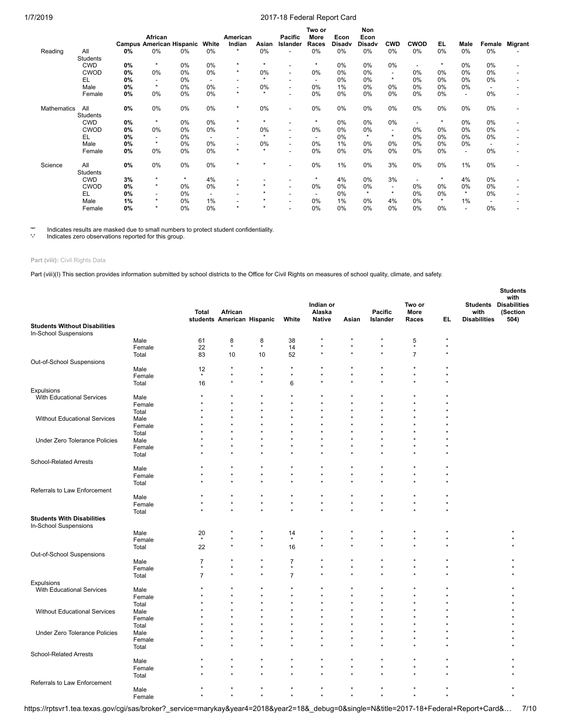|                    |                 |    | African                         |         |                          | American |              | <b>Pacific</b>           | Two or<br>More           | Econ          | Non<br>Econ   |                          |                          |         |                          |        |                |
|--------------------|-----------------|----|---------------------------------|---------|--------------------------|----------|--------------|--------------------------|--------------------------|---------------|---------------|--------------------------|--------------------------|---------|--------------------------|--------|----------------|
|                    |                 |    | <b>Campus American Hispanic</b> |         | White                    | Indian   | Asian        | Islander                 | Races                    | <b>Disady</b> | <b>Disady</b> | <b>CWD</b>               | <b>CWOD</b>              | EL.     | Male                     | Female | <b>Migrant</b> |
| Reading            | All             | 0% | 0%                              | 0%      | 0%                       | $\star$  | 0%           | $\overline{\phantom{a}}$ | 0%                       | 0%            | 0%            | 0%                       | 0%                       | 0%      | 0%                       | 0%     |                |
|                    | Students        |    |                                 |         |                          |          |              |                          |                          |               |               |                          |                          |         |                          |        |                |
|                    | <b>CWD</b>      | 0% | $\star$                         | 0%      | 0%                       | $\star$  | ${}^{\star}$ |                          | $\star$                  | 0%            | 0%            | 0%                       |                          | $\star$ | $0\%$                    | 0%     |                |
|                    | <b>CWOD</b>     | 0% | 0%                              | 0%      | 0%                       | $\star$  | 0%           | $\overline{\phantom{a}}$ | 0%                       | 0%            | 0%            | $\overline{\phantom{a}}$ | 0%                       | 0%      | 0%                       | 0%     |                |
|                    | EL              | 0% |                                 | 0%      |                          |          | $\star$      |                          | $\overline{\phantom{0}}$ | 0%            | 0%            | $\star$                  | 0%                       | $0\%$   | 0%                       | 0%     |                |
|                    | Male            | 0% | $\star$                         | 0%      | 0%                       |          | 0%           | $\overline{\phantom{a}}$ | 0%                       | 1%            | 0%            | 0%                       | 0%                       | 0%      | 0%                       |        |                |
|                    | Female          | 0% | 0%                              | 0%      | 0%                       | ٠        | $\star$      |                          | 0%                       | 0%            | 0%            | 0%                       | 0%                       | 0%      | $\overline{\phantom{a}}$ | 0%     |                |
| <b>Mathematics</b> | All             | 0% | 0%                              | 0%      | 0%                       | $\star$  | 0%           | $\overline{\phantom{a}}$ | 0%                       | 0%            | 0%            | 0%                       | 0%                       | 0%      | $0\%$                    | 0%     |                |
|                    | <b>Students</b> |    |                                 |         |                          |          |              |                          |                          |               |               |                          |                          |         |                          |        |                |
|                    | <b>CWD</b>      | 0% | $\star$                         | 0%      | 0%                       | $\star$  | ${}^{\star}$ |                          | $\star$                  | 0%            | 0%            | 0%                       |                          | $\star$ | 0%                       | 0%     |                |
|                    | <b>CWOD</b>     | 0% | 0%                              | 0%      | 0%                       | $\star$  | 0%           | $\overline{\phantom{a}}$ | 0%                       | 0%            | 0%            | $\overline{\phantom{a}}$ | $0\%$                    | $0\%$   | 0%                       | 0%     |                |
|                    | EL              | 0% | $\overline{\phantom{a}}$        | 0%      | $\overline{\phantom{a}}$ |          | $\star$      | $\blacksquare$           | $\overline{\phantom{0}}$ | 0%            | $\star$       | $\star$                  | 0%                       | $0\%$   | $0\%$                    | 0%     |                |
|                    | Male            | 0% | $\star$                         | 0%      | 0%                       |          | 0%           | $\overline{\phantom{a}}$ | 0%                       | 1%            | $0\%$         | 0%                       | 0%                       | $0\%$   | 0%                       |        |                |
|                    | Female          | 0% | 0%                              | $0\%$   | 0%                       | $\star$  | $\star$      | $\blacksquare$           | 0%                       | 0%            | 0%            | 0%                       | 0%                       | 0%      | $\overline{\phantom{a}}$ | 0%     |                |
| Science            | All             | 0% | 0%                              | 0%      | 0%                       | $\star$  | $\star$      | $\overline{\phantom{a}}$ | 0%                       | 1%            | 0%            | 3%                       | 0%                       | 0%      | 1%                       | 0%     |                |
|                    | <b>Students</b> |    |                                 |         |                          |          |              |                          |                          |               |               |                          |                          |         |                          |        |                |
|                    | <b>CWD</b>      | 3% | $\star$                         | $\star$ | 4%                       |          |              |                          | $\star$                  | 4%            | 0%            | 3%                       | $\overline{\phantom{a}}$ | $\star$ | 4%                       | 0%     |                |
|                    | <b>CWOD</b>     | 0% | $\star$                         | 0%      | 0%                       | $\star$  | $\star$      | $\overline{\phantom{a}}$ | 0%                       | 0%            | 0%            | $\overline{\phantom{a}}$ | 0%                       | $0\%$   | 0%                       | 0%     |                |
|                    | EL              | 0% | ٠                               | 0%      | $\overline{\phantom{a}}$ |          | $\star$      | $\overline{\phantom{a}}$ | $\overline{\phantom{0}}$ | $0\%$         | $\star$       | $\star$                  | $0\%$                    | 0%      | $\star$                  | 0%     |                |
|                    | Male            | 1% | $\star$                         | 0%      | 1%                       |          |              | $\blacksquare$           | 0%                       | 1%            | 0%            | 4%                       | 0%                       | $\star$ | 1%                       |        |                |
|                    | Female          | 0% | $\star$                         | 0%      | 0%                       |          | $\star$      |                          | 0%                       | 0%            | 0%            | 0%                       | $0\%$                    | 0%      |                          | 0%     |                |

'\*' Indicates results are masked due to small numbers to protect student confidentiality.

Indicates zero observations reported for this group.

# **Part (viii):** Civil Rights Data

Part (viii)(I) This section provides information submitted by school districts to the Office for Civil Rights on measures of school quality, climate, and safety.

|                                                               |        |                      |                                       |                    |                | Indian or               |                    |                            | Two or         |         |                             | <b>Students</b><br>with<br><b>Students Disabilities</b> |
|---------------------------------------------------------------|--------|----------------------|---------------------------------------|--------------------|----------------|-------------------------|--------------------|----------------------------|----------------|---------|-----------------------------|---------------------------------------------------------|
|                                                               |        | <b>Total</b>         | African<br>students American Hispanic |                    | White          | Alaska<br><b>Native</b> | Asian              | <b>Pacific</b><br>Islander | More<br>Races  | EL.     | with<br><b>Disabilities</b> | (Section<br>504)                                        |
| <b>Students Without Disabilities</b><br>In-School Suspensions |        |                      |                                       |                    |                |                         |                    |                            |                |         |                             |                                                         |
|                                                               | Male   | 61                   | 8                                     | 8                  | 38             |                         |                    | ×                          | 5              | $\star$ |                             |                                                         |
|                                                               | Female | 22                   | $\star$                               | $\star$            | 14             | $\star$                 |                    | $\star$                    | $\star$        | ÷       |                             |                                                         |
|                                                               | Total  | 83                   | 10                                    | 10                 | 52             |                         |                    | $\star$                    | $\overline{7}$ |         |                             |                                                         |
| Out-of-School Suspensions                                     |        |                      |                                       |                    |                |                         |                    |                            |                |         |                             |                                                         |
|                                                               | Male   | 12                   | $\star$                               | $\star$            | $\star$        |                         |                    |                            |                |         |                             |                                                         |
|                                                               | Female | $\star$              | $\star$                               | ÷                  | $\star$        | $\star$                 | $\star$            | $\star$                    | $\star$        |         |                             |                                                         |
|                                                               | Total  | 16                   | $\star$                               | $\star$            | 6              | $\star$                 | $\star$            |                            | $\star$        |         |                             |                                                         |
| <b>Expulsions</b>                                             |        |                      |                                       |                    |                |                         |                    |                            |                |         |                             |                                                         |
| With Educational Services                                     | Male   | $\star$              | $\star$                               | ÷                  |                |                         |                    |                            |                |         |                             |                                                         |
|                                                               | Female |                      | ÷                                     | $\star$            |                | ٠                       | $\star$<br>$\star$ |                            |                |         |                             |                                                         |
|                                                               | Total  |                      |                                       |                    |                |                         |                    |                            |                |         |                             |                                                         |
| <b>Without Educational Services</b>                           | Male   |                      |                                       |                    |                |                         |                    |                            |                |         |                             |                                                         |
|                                                               | Female |                      |                                       |                    |                |                         | $\star$            |                            |                |         |                             |                                                         |
|                                                               | Total  |                      |                                       |                    |                |                         |                    |                            |                |         |                             |                                                         |
| Under Zero Tolerance Policies                                 | Male   |                      |                                       |                    |                |                         |                    |                            |                |         |                             |                                                         |
|                                                               | Female |                      |                                       |                    |                |                         |                    |                            |                |         |                             |                                                         |
|                                                               | Total  |                      |                                       |                    |                |                         |                    |                            |                |         |                             |                                                         |
| <b>School-Related Arrests</b>                                 |        |                      |                                       |                    |                |                         |                    |                            |                |         |                             |                                                         |
|                                                               | Male   | $\star$              |                                       | $\star$            | $\star$        | $\star$                 | $\star$            |                            |                |         |                             |                                                         |
|                                                               | Female |                      |                                       |                    |                |                         |                    |                            |                |         |                             |                                                         |
|                                                               | Total  |                      |                                       |                    |                |                         |                    |                            |                |         |                             |                                                         |
| Referrals to Law Enforcement                                  |        |                      |                                       |                    | $\star$        |                         |                    |                            |                |         |                             |                                                         |
|                                                               | Male   | $\star$              | $\star$                               | $\star$            | $\star$        | $\star$                 | $\star$            | $\star$                    | $\star$        |         |                             |                                                         |
|                                                               | Female |                      |                                       | $\star$            | $\star$        | $\star$                 |                    |                            |                |         |                             |                                                         |
|                                                               | Total  |                      |                                       |                    |                |                         |                    |                            |                |         |                             |                                                         |
| <b>Students With Disabilities</b><br>In-School Suspensions    |        |                      |                                       |                    |                |                         |                    |                            |                |         |                             |                                                         |
|                                                               | Male   | 20                   | ÷                                     | $\star$            | 14             |                         |                    | $\star$                    | $\star$        |         |                             |                                                         |
|                                                               | Female | $\star$              | $\star$                               | $\star$<br>$\star$ | $^\star$       | $\star$                 | $\star$            |                            |                |         |                             |                                                         |
|                                                               | Total  | 22                   | $\star$                               |                    | 16             |                         |                    |                            |                |         |                             |                                                         |
| Out-of-School Suspensions                                     |        |                      |                                       |                    |                |                         |                    |                            |                |         |                             |                                                         |
|                                                               | Male   | $\boldsymbol{7}$     |                                       |                    | $\overline{7}$ | $\star$                 |                    |                            |                |         |                             |                                                         |
|                                                               | Female | $\star$              | $\star$                               | $\star$<br>$\star$ | $\star$        |                         | $\star$            |                            |                |         |                             |                                                         |
|                                                               | Total  | $\overline{7}$       |                                       |                    | $\overline{7}$ |                         |                    |                            |                |         |                             |                                                         |
| <b>Expulsions</b>                                             |        |                      |                                       |                    |                |                         |                    |                            |                |         |                             |                                                         |
| With Educational Services                                     | Male   |                      |                                       |                    |                |                         |                    |                            |                |         |                             |                                                         |
|                                                               | Female |                      | 4                                     |                    |                |                         | $\star$            |                            |                |         |                             |                                                         |
|                                                               | Total  |                      |                                       |                    |                |                         |                    |                            |                |         |                             |                                                         |
| <b>Without Educational Services</b>                           | Male   |                      |                                       |                    |                |                         |                    |                            |                |         |                             |                                                         |
|                                                               | Female |                      |                                       |                    |                |                         |                    |                            |                |         |                             |                                                         |
|                                                               | Total  |                      |                                       | ÷                  |                |                         | $\star$            |                            |                |         |                             |                                                         |
| Under Zero Tolerance Policies                                 | Male   |                      |                                       | $\star$            |                | $\star$                 | $\star$            | $\star$                    |                |         |                             |                                                         |
|                                                               | Female |                      |                                       |                    |                |                         |                    |                            |                |         |                             |                                                         |
|                                                               | Total  |                      |                                       |                    |                |                         |                    |                            |                |         |                             |                                                         |
| <b>School-Related Arrests</b>                                 |        |                      |                                       |                    |                |                         |                    |                            |                |         |                             |                                                         |
|                                                               | Male   |                      |                                       |                    |                |                         |                    |                            |                |         |                             |                                                         |
|                                                               | Female |                      |                                       |                    |                |                         |                    |                            |                |         |                             |                                                         |
|                                                               | Total  |                      |                                       |                    |                |                         |                    |                            |                |         |                             |                                                         |
| Referrals to Law Enforcement                                  |        |                      |                                       | $\star$            | $\star$        | $\star$                 | $\star$            | $\star$                    | $\star$        |         |                             |                                                         |
|                                                               | Male   | $\ddot{\phantom{0}}$ | $\star$                               | $\star$            | $\star$        | $\star$                 | $\star$            | $\star$                    | $\star$        | ٠       |                             |                                                         |
|                                                               | Female |                      |                                       |                    |                |                         |                    |                            |                |         |                             |                                                         |

https://rptsvr1.tea.texas.gov/cgi/sas/broker?\_service=marykay&year4=2018&year2=18&\_debug=0&single=N&title=2017-18+Federal+Report+Card&… 7/10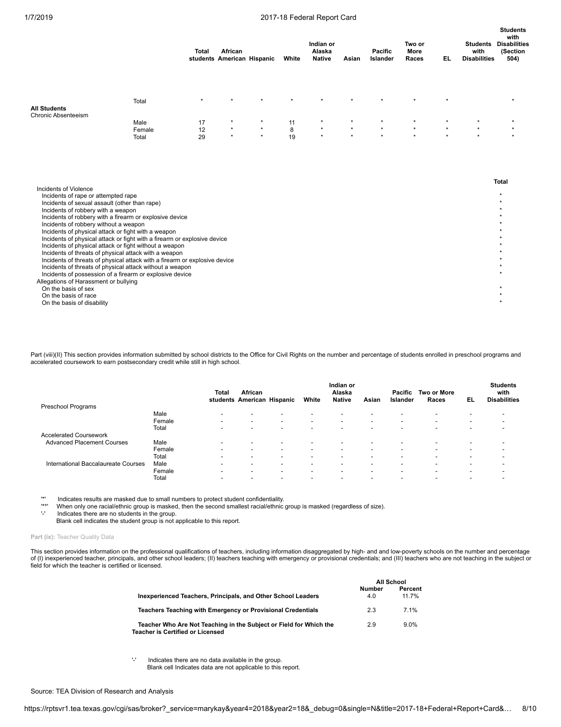|                                                                                                                                                                                                                                                                                                                                                                                            |                 | Total    | African            | students American Hispanic | White   | Indian or<br>Alaska<br><b>Native</b> | Asian              | Pacific<br>Islander | Two or<br>More<br>Races | EL.     | <b>Students</b><br>with<br><b>Disabilities</b> | <b>Students</b><br>with<br><b>Disabilities</b><br>(Section<br>504) |
|--------------------------------------------------------------------------------------------------------------------------------------------------------------------------------------------------------------------------------------------------------------------------------------------------------------------------------------------------------------------------------------------|-----------------|----------|--------------------|----------------------------|---------|--------------------------------------|--------------------|---------------------|-------------------------|---------|------------------------------------------------|--------------------------------------------------------------------|
| <b>All Students</b>                                                                                                                                                                                                                                                                                                                                                                        | Total           |          | $\star$            |                            | ÷       |                                      |                    |                     | ٠                       | $\star$ |                                                | $\star$                                                            |
| Chronic Absenteeism                                                                                                                                                                                                                                                                                                                                                                        |                 |          |                    |                            |         |                                      |                    |                     |                         |         |                                                |                                                                    |
|                                                                                                                                                                                                                                                                                                                                                                                            | Male            | 17       | $\star$<br>$\star$ | $\star$                    | 11      | $\star$<br>$\star$                   | $\star$<br>$\star$ | $\star$             | $\star$<br>$\star$      | $\star$ | $\star$<br>$\star$                             |                                                                    |
|                                                                                                                                                                                                                                                                                                                                                                                            | Female<br>Total | 12<br>29 | $\star$            | $\star$                    | 8<br>19 | $\star$                              | $\star$            |                     |                         | $\star$ |                                                |                                                                    |
| Incidents of Violence<br>Incidents of rape or attempted rape<br>Incidents of sexual assault (other than rape)<br>Incidents of robbery with a weapon<br>Incidents of robbery with a firearm or explosive device<br>Incidents of robbery without a weapon<br>Incidents of physical attack or fight with a weapon<br>Incidents of physical attack or fight with a firearm or explosive device |                 |          |                    |                            |         |                                      |                    |                     |                         |         |                                                | <b>Total</b><br>$\star$                                            |
| Incidents of physical attack or fight without a weapon<br>Incidents of threats of physical attack with a weapon                                                                                                                                                                                                                                                                            |                 |          |                    |                            |         |                                      |                    |                     |                         |         |                                                |                                                                    |
| Incidents of threats of physical attack with a firearm or explosive device                                                                                                                                                                                                                                                                                                                 |                 |          |                    |                            |         |                                      |                    |                     |                         |         |                                                |                                                                    |
| Incidents of threats of physical attack without a weapon                                                                                                                                                                                                                                                                                                                                   |                 |          |                    |                            |         |                                      |                    |                     |                         |         |                                                |                                                                    |
| Incidents of possession of a firearm or explosive device<br>Allegations of Harassment or bullying                                                                                                                                                                                                                                                                                          |                 |          |                    |                            |         |                                      |                    |                     |                         |         |                                                |                                                                    |

On the basis of sex  $\ddot{\hspace{1cm}}$   $\ddot{\hspace{1cm}}$ 

On the basis of race \*

On the basis of disability \*

Part (viii)(II) This section provides information submitted by school districts to the Office for Civil Rights on the number and percentage of students enrolled in preschool programs and accelerated coursework to earn postsecondary credit while still in high school.

|                                     |        | Total                    | African<br>students American Hispanic |                          | White                    | Indian or<br>Alaska<br><b>Native</b> | Asian                    | Pacific<br>Islander      | Two or More<br>Races     | EL                       | <b>Students</b><br>with<br><b>Disabilities</b> |
|-------------------------------------|--------|--------------------------|---------------------------------------|--------------------------|--------------------------|--------------------------------------|--------------------------|--------------------------|--------------------------|--------------------------|------------------------------------------------|
| Preschool Programs                  |        |                          |                                       |                          |                          |                                      |                          |                          |                          |                          |                                                |
|                                     | Male   | $\overline{\phantom{a}}$ | $\overline{\phantom{a}}$              | <b>.</b>                 | -                        | -                                    | $\overline{\phantom{a}}$ |                          | -                        |                          |                                                |
|                                     | Female | $\overline{\phantom{0}}$ | $\overline{\phantom{0}}$              | $\overline{\phantom{a}}$ | -                        |                                      | $\overline{\phantom{a}}$ | -                        | -                        | $\overline{\phantom{a}}$ |                                                |
|                                     | Total  | $\overline{\phantom{a}}$ | $\overline{\phantom{0}}$              | $\overline{\phantom{a}}$ | $\overline{\phantom{0}}$ | -                                    | $\overline{\phantom{a}}$ | $\overline{\phantom{0}}$ | $\overline{\phantom{a}}$ | -                        |                                                |
| <b>Accelerated Coursework</b>       |        |                          |                                       |                          |                          |                                      |                          |                          |                          |                          |                                                |
| <b>Advanced Placement Courses</b>   | Male   | $\overline{\phantom{0}}$ | $\overline{\phantom{0}}$              | $\overline{\phantom{a}}$ | -                        | $\overline{\phantom{0}}$             | $\overline{\phantom{a}}$ | $\overline{\phantom{0}}$ | -                        |                          |                                                |
|                                     | Female | $\overline{\phantom{0}}$ | $\overline{\phantom{a}}$              | $\overline{\phantom{a}}$ | $\overline{\phantom{0}}$ | $\overline{\phantom{a}}$             | $\overline{\phantom{a}}$ | $\,$                     | -                        | $\overline{\phantom{0}}$ |                                                |
|                                     | Total  | $\overline{\phantom{a}}$ | $\overline{\phantom{0}}$              | $\overline{\phantom{a}}$ | -                        | $\overline{\phantom{0}}$             | $\overline{\phantom{a}}$ | -                        | -                        | $\overline{\phantom{a}}$ |                                                |
| International Baccalaureate Courses | Male   | $\overline{\phantom{0}}$ | $\overline{\phantom{0}}$              | $\overline{\phantom{a}}$ | $\overline{\phantom{0}}$ | $\overline{\phantom{0}}$             | $\overline{\phantom{a}}$ | $\,$                     | -                        | -                        |                                                |
|                                     | Female | $\overline{\phantom{0}}$ | $\overline{\phantom{0}}$              | $\overline{\phantom{a}}$ | $\overline{\phantom{0}}$ | $\overline{\phantom{0}}$             | $\overline{\phantom{a}}$ | $\,$                     | $\overline{\phantom{a}}$ | -                        |                                                |
|                                     | Total  | $\overline{\phantom{0}}$ | $\overline{\phantom{0}}$              | $\overline{\phantom{a}}$ | -                        | $\overline{\phantom{0}}$             | $\overline{\phantom{a}}$ | $\overline{\phantom{0}}$ | -                        | -                        |                                                |

'\*' Indicates results are masked due to small numbers to protect student confidentiality.

'\*\*' When only one racial/ethnic group is masked, then the second smallest racial/ethnic group is masked (regardless of size).

Indicates there are no students in the group. Blank cell indicates the student group is not applicable to this report.

Part (ix): Teacher Quality Data

This section provides information on the professional qualifications of teachers, including information disaggregated by high- and and low-poverty schools on the number and percentage of (I) inexperienced teacher, principals, and other school leaders; (II) teachers teaching with emergency or provisional credentials; and (III) teachers who are not teaching in the subject or<br>field for which the teacher is

|                                                                                                        |               | <b>All School</b> |
|--------------------------------------------------------------------------------------------------------|---------------|-------------------|
| Inexperienced Teachers, Principals, and Other School Leaders                                           | Number<br>4.0 | Percent<br>11 7%  |
| Teachers Teaching with Emergency or Provisional Credentials                                            | 2.3           | 7 1%              |
| Teacher Who Are Not Teaching in the Subject or Field for Which the<br>Teacher is Certified or Licensed | 2.9           | $9.0\%$           |

'-' Indicates there are no data available in the group.

Blank cell Indicates data are not applicable to this report.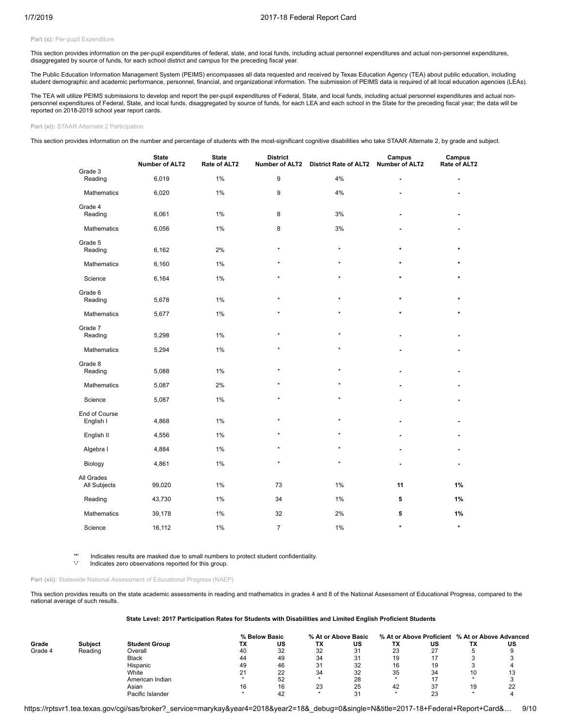## Part (x): Per-pupil Expenditure

This section provides information on the per-pupil expenditures of federal, state, and local funds, including actual personnel expenditures and actual non-personnel expenditures, disaggregated by source of funds, for each school district and campus for the preceding fiscal year.

The Public Education Information Management System (PEIMS) encompasses all data requested and received by Texas Education Agency (TEA) about public education, including student demographic and academic performance, personnel, financial, and organizational information. The submission of PEIMS data is required of all local education agencies (LEAs).

The TEA will utilize PEIMS submissions to develop and report the per-pupil expenditures of Federal, State, and local funds, including actual personnel expenditures and actual nonpersonnel expenditures of Federal, State, and local funds, disaggregated by source of funds, for each LEA and each school in the State for the preceding fiscal year; the data will be reported on 2018-2019 school year report cards.

## **Part (xi):** STAAR Alternate 2 Participation

This section provides information on the number and percentage of students with the most-significant cognitive disabilities who take STAAR Alternate 2, by grade and subject.

|                            | <b>State</b><br><b>Number of ALT2</b> | <b>State</b><br>Rate of ALT2 | <b>District</b><br><b>Number of ALT2</b> | <b>District Rate of ALT2</b> | Campus<br><b>Number of ALT2</b> | Campus<br>Rate of ALT2 |
|----------------------------|---------------------------------------|------------------------------|------------------------------------------|------------------------------|---------------------------------|------------------------|
| Grade 3<br>Reading         | 6,019                                 | 1%                           | 9                                        | 4%                           |                                 |                        |
| Mathematics                | 6,020                                 | 1%                           | 9                                        | 4%                           |                                 |                        |
| Grade 4<br>Reading         | 6,061                                 | 1%                           | 8                                        | 3%                           |                                 |                        |
| Mathematics                | 6,056                                 | 1%                           | 8                                        | 3%                           |                                 |                        |
| Grade 5<br>Reading         | 6,162                                 | 2%                           | $\star$                                  | $\star$                      | $\star$                         |                        |
| Mathematics                | 6,160                                 | 1%                           |                                          | $\star$                      |                                 |                        |
| Science                    | 6,164                                 | 1%                           | $\star$                                  | $\star$                      | $\star$                         | $\star$                |
| Grade 6<br>Reading         | 5,678                                 | 1%                           | $\star$                                  | $\star$                      | $\star$                         | $\star$                |
| Mathematics                | 5,677                                 | 1%                           | $\star$                                  | $\star$                      | ÷                               | ٠                      |
| Grade 7<br>Reading         | 5,298                                 | $1\%$                        |                                          | $\star$                      |                                 |                        |
| <b>Mathematics</b>         | 5,294                                 | 1%                           | $\star$                                  | $\star$                      |                                 |                        |
| Grade 8<br>Reading         | 5,088                                 | 1%                           | $\star$                                  | $\star$                      |                                 |                        |
| Mathematics                | 5,087                                 | 2%                           |                                          | ×                            |                                 |                        |
| Science                    | 5,087                                 | 1%                           | $\star$                                  | $\star$                      |                                 |                        |
| End of Course<br>English I | 4,868                                 | 1%                           | $\star$                                  | $\star$                      |                                 |                        |
| English II                 | 4,556                                 | 1%                           | ٠                                        | ÷                            |                                 |                        |
| Algebra I                  | 4,884                                 | 1%                           |                                          | ×                            |                                 |                        |
| Biology                    | 4,861                                 | $1\%$                        | $\star$                                  | ÷                            |                                 |                        |
| All Grades<br>All Subjects | 99,020                                | $1\%$                        | 73                                       | 1%                           | 11                              | 1%                     |
| Reading                    | 43,730                                | 1%                           | 34                                       | 1%                           | 5                               | 1%                     |
| Mathematics                | 39,178                                | 1%                           | 32                                       | 2%                           | 5                               | 1%                     |
| Science                    | 16,112                                | 1%                           | $\overline{7}$                           | 1%                           | $\star$                         | $\star$                |

'\*' Indicates results are masked due to small numbers to protect student confidentiality.

Indicates zero observations reported for this group.

#### **Part (xii):** Statewide National Assessment of Educational Progress (NAEP)

This section provides results on the state academic assessments in reading and mathematics in grades 4 and 8 of the National Assessment of Educational Progress, compared to the national average of such results.

## **State Level: 2017 Participation Rates for Students with Disabilities and Limited English Proficient Students**

|         |                |                      | % Below Basic |    | % At or Above Basic |               |    | % At or Above Proficient % At or Above Advanced |    |     |
|---------|----------------|----------------------|---------------|----|---------------------|---------------|----|-------------------------------------------------|----|-----|
| Grade   | <b>Subject</b> | <b>Student Group</b> | ТX            | US | ТΧ                  | US            | ТΧ | US                                              | ΤХ | US  |
| Grade 4 | Reading        | Overall              | 40            | 32 | 32                  | 31            | 23 | 27                                              |    |     |
|         |                | <b>Black</b>         | 44            | 49 | 34                  | 21<br>$\cdot$ | 19 | 47                                              |    |     |
|         |                | Hispanic             | 49            | 46 | 31                  | 32            | 16 | 19                                              |    |     |
|         |                | White                |               | 22 | 34                  | 32            | 35 | 34                                              | 10 | ۰., |
|         |                | American Indian      |               | 52 |                     | 28            |    |                                                 |    |     |
|         |                | Asian                | 16            | 16 | 23                  | 25            | 42 | 37                                              | 19 | 22  |
|         |                | Pacific Islander     |               |    |                     | ີ             |    | 23                                              |    |     |